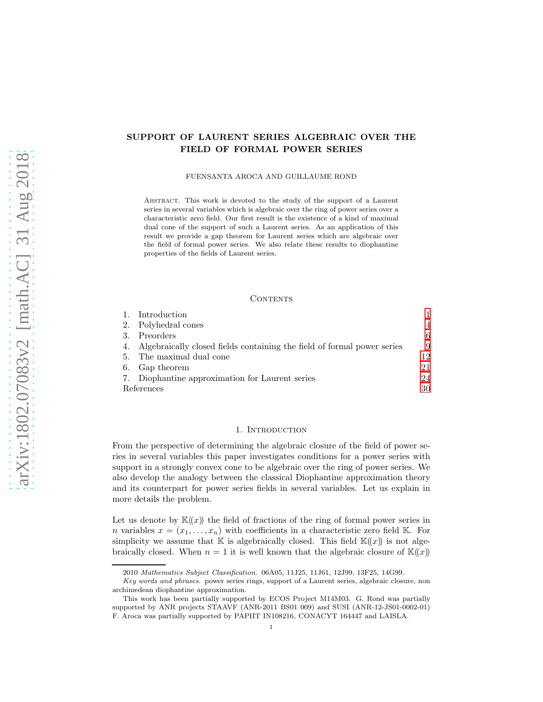# SUPPORT OF LAURENT SERIES ALGEBRAIC OVER THE FIELD OF FORMAL POWER SERIES

FUENSANTA AROCA AND GUILLAUME ROND

Abstract. This work is devoted to the study of the support of a Laurent series in several variables which is algebraic over the ring of power series over a characteristic zero field. Our first result is the existence of a kind of maximal dual cone of the support of such a Laurent series. As an application of this result we provide a gap theorem for Laurent series which are algebraic over the field of formal power series. We also relate these results to diophantine properties of the fields of Laurent series.

#### CONTENTS

|            | Introduction                                                            |    |
|------------|-------------------------------------------------------------------------|----|
|            | 2. Polyhedral cones                                                     | 4  |
| $3_{-}$    | Preorders                                                               | 6  |
| 4.         | Algebraically closed fields containing the field of formal power series | 9  |
| 5.         | The maximal dual cone                                                   | 12 |
| 6.         | Gap theorem                                                             | 21 |
|            | 7. Diophantine approximation for Laurent series                         | 24 |
| References |                                                                         | 30 |

#### 1. INTRODUCTION

<span id="page-0-0"></span>From the perspective of determining the algebraic closure of the field of power series in several variables this paper investigates conditions for a power series with support in a strongly convex cone to be algebraic over the ring of power series. We also develop the analogy between the classical Diophantine approximation theory and its counterpart for power series fields in several variables. Let us explain in more details the problem.

Let us denote by  $\mathbb{K}(\!(x)\!)$  the field of fractions of the ring of formal power series in n variables  $x = (x_1, \ldots, x_n)$  with coefficients in a characteristic zero field K. For simplicity we assume that  $\mathbb K$  is algebraically closed. This field  $\mathbb K(x)$  is not algebraically closed. When  $n = 1$  it is well known that the algebraic closure of  $\mathbb{K}(\!(x)\!)$ 

<sup>2010</sup> Mathematics Subject Classification. 06A05, 11J25, 11J61, 12J99, 13F25, 14G99.

Key words and phrases. power series rings, support of a Laurent series, algebraic closure, non archimedean diophantine approximation.

This work has been partially supported by ECOS Project M14M03. G. Rond was partially supported by ANR projects STAAVF (ANR-2011 BS01 009) and SUSI (ANR-12-JS01-0002-01) F. Aroca was partially supported by PAPIIT IN108216, CONACYT 164447 and LAISLA.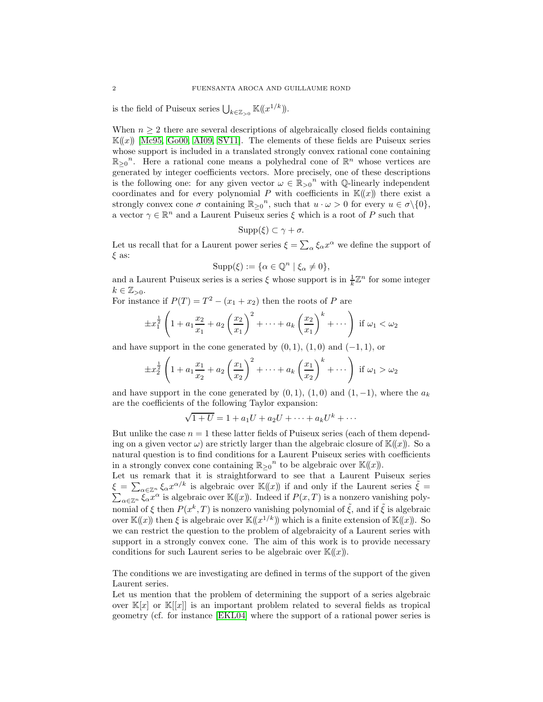is the field of Puiseux series  $\bigcup_{k\in\mathbb{Z}_{>0}}\mathbb{K}(\!(x^{1/k})\!)$ .

When  $n \geq 2$  there are several descriptions of algebraically closed fields containing  $\mathbb{K}(x)$  [\[Mc95,](#page-29-1) [Go00,](#page-29-2) [AI09,](#page-29-3) [SV11\]](#page-30-0). The elements of these fields are Puiseux series whose support is included in a translated strongly convex rational cone containing  $\mathbb{R}_{\geq 0}^n$ . Here a rational cone means a polyhedral cone of  $\mathbb{R}^n$  whose vertices are generated by integer coefficients vectors. More precisely, one of these descriptions is the following one: for any given vector  $\omega \in \mathbb{R}_{\geq 0}^n$  with  $\mathbb{Q}$ -linearly independent coordinates and for every polynomial P with coefficients in  $K(x)$  there exist a strongly convex cone  $\sigma$  containing  $\mathbb{R}_{\geq 0}^n$ , such that  $u \cdot \omega > 0$  for every  $u \in \sigma \setminus \{0\}$ , a vector  $\gamma \in \mathbb{R}^n$  and a Laurent Puiseux series  $\xi$  which is a root of P such that

$$
\mathrm{Supp}(\xi)\subset\gamma+\sigma.
$$

Let us recall that for a Laurent power series  $\xi = \sum_{\alpha} \xi_{\alpha} x^{\alpha}$  we define the support of  $\xi$  as:

$$
Supp(\xi) := \{ \alpha \in \mathbb{Q}^n \mid \xi_\alpha \neq 0 \},\
$$

and a Laurent Puiseux series is a series  $\xi$  whose support is in  $\frac{1}{k}\mathbb{Z}^n$  for some integer  $k \in \mathbb{Z}_{>0}$ .

For instance if  $P(T) = T^2 - (x_1 + x_2)$  then the roots of P are

$$
\pm x_1^{\frac{1}{2}} \left( 1 + a_1 \frac{x_2}{x_1} + a_2 \left( \frac{x_2}{x_1} \right)^2 + \dots + a_k \left( \frac{x_2}{x_1} \right)^k + \dots \right) \text{ if } \omega_1 < \omega_2
$$

and have support in the cone generated by  $(0, 1)$ ,  $(1, 0)$  and  $(-1, 1)$ , or

$$
\pm x_2^{\frac{1}{2}} \left( 1 + a_1 \frac{x_1}{x_2} + a_2 \left( \frac{x_1}{x_2} \right)^2 + \dots + a_k \left( \frac{x_1}{x_2} \right)^k + \dots \right) \text{ if } \omega_1 > \omega_2
$$

and have support in the cone generated by  $(0, 1)$ ,  $(1, 0)$  and  $(1, -1)$ , where the  $a_k$ are the coefficients of the following Taylor expansion:

$$
\sqrt{1+U} = 1 + a_1U + a_2U + \dots + a_kU^k + \dots
$$

But unlike the case  $n = 1$  these latter fields of Puiseux series (each of them depending on a given vector  $\omega$ ) are strictly larger than the algebraic closure of  $\mathbb{K}(\!(x)\!)$ . So a natural question is to find conditions for a Laurent Puiseux series with coefficients in a strongly convex cone containing  $\mathbb{R}_{\geq 0}^n$  to be algebraic over  $\mathbb{K}(\!(x)\!).$ 

Let us remark that it is straightforward to see that a Laurent Puiseux series  $\xi = \sum_{\alpha \in \mathbb{Z}^n} \xi_{\alpha} x^{\alpha/k}$  is algebraic over  $\mathbb{K}(\!(x)\!)$  if and only if the Laurent series  $\tilde{\xi} =$  $\sum_{\alpha \in \mathbb{Z}^n} \hat{\xi}_{\alpha} x^{\alpha}$  is algebraic over  $\mathbb{K}(\!(x)\!)$ . Indeed if  $P(x,T)$  is a nonzero vanishing polynomial of  $\xi$  then  $P(x^k, T)$  is nonzero vanishing polynomial of  $\tilde{\xi}$ , and if  $\tilde{\xi}$  is algebraic over  $\mathbb{K}(\!(x)\!)$  then  $\xi$  is algebraic over  $\mathbb{K}(\!(x^{1/k})\!)$  which is a finite extension of  $\mathbb{K}(\!(x)\!)$ . So we can restrict the question to the problem of algebraicity of a Laurent series with support in a strongly convex cone. The aim of this work is to provide necessary conditions for such Laurent series to be algebraic over  $\mathbb{K}(\!(x)\!)$ .

The conditions we are investigating are defined in terms of the support of the given Laurent series.

Let us mention that the problem of determining the support of a series algebraic over  $\mathbb{K}[x]$  or  $\mathbb{K}[x]$  is an important problem related to several fields as tropical geometry (cf. for instance [\[EKL04\]](#page-29-4) where the support of a rational power series is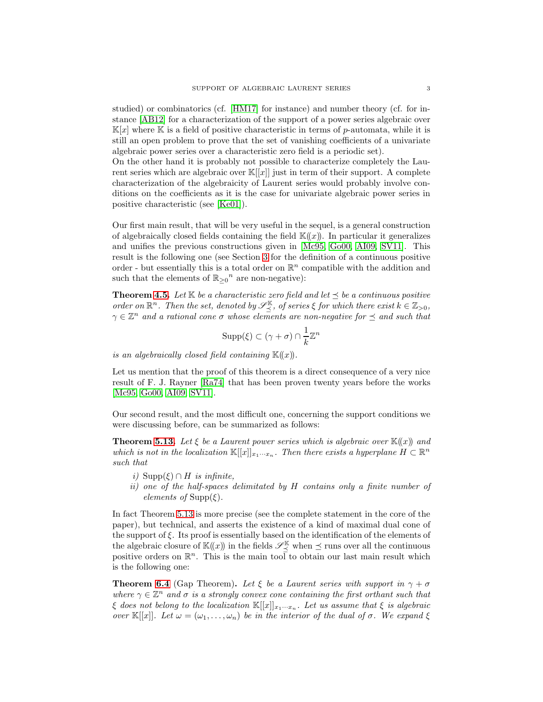studied) or combinatorics (cf. [\[HM17\]](#page-29-5) for instance) and number theory (cf. for instance [\[AB12\]](#page-29-6) for a characterization of the support of a power series algebraic over  $\mathbb{K}[x]$  where  $\mathbb{K}$  is a field of positive characteristic in terms of p-automata, while it is still an open problem to prove that the set of vanishing coefficients of a univariate algebraic power series over a characteristic zero field is a periodic set).

On the other hand it is probably not possible to characterize completely the Laurent series which are algebraic over  $\mathbb{K}[[x]]$  just in term of their support. A complete characterization of the algebraicity of Laurent series would probably involve conditions on the coefficients as it is the case for univariate algebraic power series in positive characteristic (see [\[Ke01\]](#page-29-7)).

Our first main result, that will be very useful in the sequel, is a general construction of algebraically closed fields containing the field  $\mathbb{K}(\!(x)\!)$ . In particular it generalizes and unifies the previous constructions given in [\[Mc95,](#page-29-1) [Go00,](#page-29-2) [AI09,](#page-29-3) [SV11\]](#page-30-0). This result is the following one (see Section [3](#page-5-0) for the definition of a continuous positive order - but essentially this is a total order on  $\mathbb{R}^n$  compatible with the addition and such that the elements of  $\mathbb{R}_{\geq 0}^n$  are non-negative):

**Theorem [4.5.](#page-10-0)** Let  $K$  be a characteristic zero field and let  $\preceq$  be a continuous positive order on  $\mathbb{R}^n$ . Then the set, denoted by  $\mathscr{S}_{\preceq}^{\mathbb{K}}$ , of series  $\xi$  for which there exist  $k \in \mathbb{Z}_{>0}$ ,  $\gamma \in \mathbb{Z}^n$  and a rational cone  $\sigma$  whose elements are non-negative for  $\preceq$  and such that

$$
\operatorname{Supp}(\xi) \subset (\gamma + \sigma) \cap \frac{1}{k} \mathbb{Z}^n
$$

is an algebraically closed field containing  $K(x)$ .

Let us mention that the proof of this theorem is a direct consequence of a very nice result of F. J. Rayner [\[Ra74\]](#page-29-8) that has been proven twenty years before the works [\[Mc95,](#page-29-1) [Go00,](#page-29-2) [AI09,](#page-29-3) [SV11\]](#page-30-0).

Our second result, and the most difficult one, concerning the support conditions we were discussing before, can be summarized as follows:

**Theorem [5.13.](#page-17-0)** Let  $\xi$  be a Laurent power series which is algebraic over  $\mathbb{K}(\!(x)\!)$  and which is not in the localization  $\mathbb{K}[[x]]_{x_1\cdots x_n}$ . Then there exists a hyperplane  $H \subset \mathbb{R}^n$ such that

- i) Supp $(\xi) \cap H$  is infinite,
- ii) one of the half-spaces delimitated by H contains only a finite number of elements of  $\text{Supp}(\xi)$ .

In fact Theorem [5.13](#page-17-0) is more precise (see the complete statement in the core of the paper), but technical, and asserts the existence of a kind of maximal dual cone of the support of  $\xi$ . Its proof is essentially based on the identification of the elements of the algebraic closure of  $\mathbb{K}(x)$  in the fields  $\mathscr{S}_{\preceq}^{\mathbb{K}}$  when  $\preceq$  runs over all the continuous positive orders on  $\mathbb{R}^n$ . This is the main tool to obtain our last main result which is the following one:

**Theorem [6.4](#page-22-0)** (Gap Theorem). Let  $\xi$  be a Laurent series with support in  $\gamma + \sigma$ where  $\gamma \in \mathbb{Z}^n$  and  $\sigma$  is a strongly convex cone containing the first orthant such that  $\xi$  does not belong to the localization  $\mathbb{K}[[x]]_{x_1\cdots x_n}$ . Let us assume that  $\xi$  is algebraic over  $\mathbb{K}[[x]]$ . Let  $\omega = (\omega_1, \dots, \omega_n)$  be in the interior of the dual of  $\sigma$ . We expand  $\xi$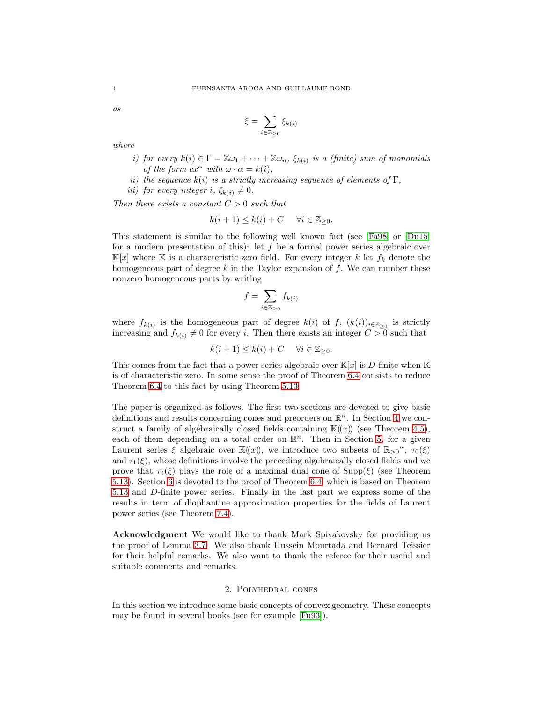as

$$
\xi = \sum_{i \in \mathbb{Z}_{\geq 0}} \xi_{k(i)}
$$

where

- i) for every  $k(i) \in \Gamma = \mathbb{Z} \omega_1 + \cdots + \mathbb{Z} \omega_n$ ,  $\xi_{k(i)}$  is a (finite) sum of monomials of the form  $cx^{\alpha}$  with  $\omega \cdot \alpha = k(i)$ ,
- ii) the sequence  $k(i)$  is a strictly increasing sequence of elements of  $\Gamma$ ,

*iii)* for every integer i,  $\xi_{k(i)} \neq 0$ .

Then there exists a constant  $C > 0$  such that

$$
k(i+1) \le k(i) + C \quad \forall i \in \mathbb{Z}_{\geq 0}.
$$

This statement is similar to the following well known fact (see [\[Fa98\]](#page-29-9) or [\[Du15\]](#page-29-10) for a modern presentation of this): let  $f$  be a formal power series algebraic over  $\mathbb{K}[x]$  where  $\mathbb K$  is a characteristic zero field. For every integer k let  $f_k$  denote the homogeneous part of degree  $k$  in the Taylor expansion of  $f$ . We can number these nonzero homogeneous parts by writing

$$
f = \sum_{i \in \mathbb{Z}_{\geq 0}} f_{k(i)}
$$

where  $f_{k(i)}$  is the homogeneous part of degree  $k(i)$  of f,  $(k(i))_{i\in\mathbb{Z}_{>0}}$  is strictly increasing and  $f_{k(i)} \neq 0$  for every i. Then there exists an integer  $C > 0$  such that

$$
k(i+1) \le k(i) + C \quad \forall i \in \mathbb{Z}_{\geq 0}.
$$

This comes from the fact that a power series algebraic over  $\mathbb{K}[x]$  is D-finite when  $\mathbb{K}$ is of characteristic zero. In some sense the proof of Theorem [6.4](#page-22-0) consists to reduce Theorem [6.4](#page-22-0) to this fact by using Theorem [5.13.](#page-17-0)

The paper is organized as follows. The first two sections are devoted to give basic definitions and results concerning cones and preorders on  $\mathbb{R}^n$ . In Section [4](#page-8-0) we construct a family of algebraically closed fields containing  $\mathbb{K}(x)$  (see Theorem [4.5\)](#page-10-0), each of them depending on a total order on  $\mathbb{R}^n$ . Then in Section [5,](#page-11-0) for a given Laurent series  $\xi$  algebraic over  $\mathbb{K}(x)$ , we introduce two subsets of  $\mathbb{R}_{>0}^n$ ,  $\tau_0(\xi)$ and  $\tau_1(\xi)$ , whose definitions involve the preceding algebraically closed fields and we prove that  $\tau_0(\xi)$  plays the role of a maximal dual cone of Supp( $\xi$ ) (see Theorem [5.13\)](#page-17-0). Section [6](#page-20-0) is devoted to the proof of Theorem [6.4,](#page-22-0) which is based on Theorem [5.13](#page-17-0) and D-finite power series. Finally in the last part we express some of the results in term of diophantine approximation properties for the fields of Laurent power series (see Theorem [7.4\)](#page-25-0).

Acknowledgment We would like to thank Mark Spivakovsky for providing us the proof of Lemma [3.7.](#page-6-0) We also thank Hussein Mourtada and Bernard Teissier for their helpful remarks. We also want to thank the referee for their useful and suitable comments and remarks.

### 2. Polyhedral cones

<span id="page-3-0"></span>In this section we introduce some basic concepts of convex geometry. These concepts may be found in several books (see for example [\[Fu93\]](#page-29-11)).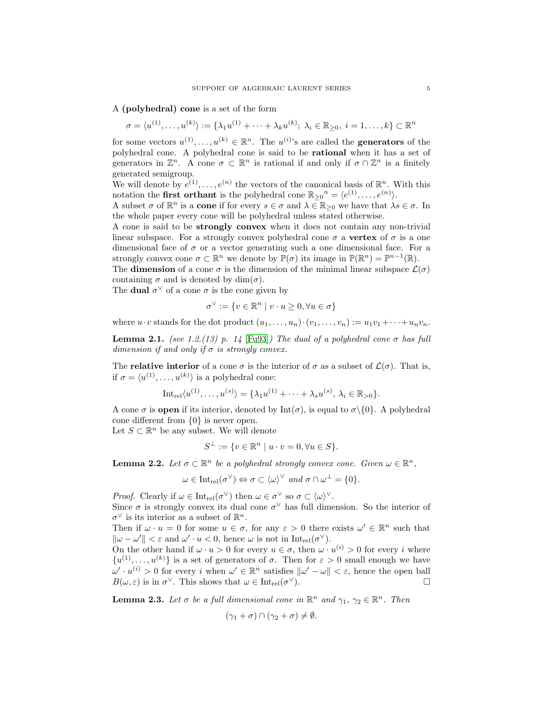A (polyhedral) cone is a set of the form

$$
\sigma = \langle u^{(1)}, \ldots, u^{(k)} \rangle := \{ \lambda_1 u^{(1)} + \cdots + \lambda_k u^{(k)}; \ \lambda_i \in \mathbb{R}_{\geq 0}, \ i = 1, \ldots, k \} \subset \mathbb{R}^n
$$

for some vectors  $u^{(1)}, \ldots, u^{(k)} \in \mathbb{R}^n$ . The  $u^{(i)}$ 's are called the **generators** of the polyhedral cone. A polyhedral cone is said to be rational when it has a set of generators in  $\mathbb{Z}^n$ . A cone  $\sigma \subset \mathbb{R}^n$  is rational if and only if  $\sigma \cap \mathbb{Z}^n$  is a finitely generated semigroup.

We will denote by  $e^{(1)}, \ldots, e^{(n)}$  the vectors of the canonical basis of  $\mathbb{R}^n$ . With this notation the **first orthant** is the polyhedral cone  $\mathbb{R}_{\geq 0}^n = \langle e^{(1)}, \ldots, e^{(n)} \rangle$ .

A subset  $\sigma$  of  $\mathbb{R}^n$  is a **cone** if for every  $s \in \sigma$  and  $\lambda \in \mathbb{R}_{\geq 0}$  we have that  $\lambda s \in \sigma$ . In the whole paper every cone will be polyhedral unless stated otherwise.

A cone is said to be strongly convex when it does not contain any non-trivial linear subspace. For a strongly convex polyhedral cone  $\sigma$  a vertex of  $\sigma$  is a one dimensional face of  $\sigma$  or a vector generating such a one dimensional face. For a strongly convex cone  $\sigma \subset \mathbb{R}^n$  we denote by  $\mathbb{P}(\sigma)$  its image in  $\mathbb{P}(\mathbb{R}^n) = \mathbb{P}^{n-1}(\mathbb{R})$ .

The **dimension** of a cone  $\sigma$  is the dimension of the minimal linear subspace  $\mathcal{L}(\sigma)$ containing  $\sigma$  and is denoted by dim $(\sigma)$ .

The **dual**  $\sigma^{\vee}$  of a cone  $\sigma$  is the cone given by

$$
\sigma^{\vee} := \{ v \in \mathbb{R}^n \mid v \cdot u \ge 0, \forall u \in \sigma \}
$$

where  $u \cdot v$  stands for the dot product  $(u_1, \ldots, u_n) \cdot (v_1, \ldots, v_n) := u_1v_1 + \cdots + u_nv_n$ .

<span id="page-4-2"></span>**Lemma 2.1.** (see 1.2.(13) p. 14 [\[Fu93\]](#page-29-11)) The dual of a polyhedral cone  $\sigma$  has full dimension if and only if  $\sigma$  is strongly convex.

The **relative interior** of a cone  $\sigma$  is the interior of  $\sigma$  as a subset of  $\mathcal{L}(\sigma)$ . That is, if  $\sigma = \langle u^{(1)}, \ldots, u^{(k)} \rangle$  is a polyhedral cone:

Int<sub>rel</sub>
$$
\langle u^{(1)},...,u^{(s)}\rangle = \{\lambda_1 u^{(1)} + \cdots + \lambda_s u^{(s)}, \lambda_i \in \mathbb{R}_{>0}\}.
$$

A cone  $\sigma$  is **open** if its interior, denoted by  $Int(\sigma)$ , is equal to  $\sigma \setminus \{0\}$ . A polyhedral cone different from {0} is never open.

Let  $S \subset \mathbb{R}^n$  be any subset. We will denote

$$
S^{\perp} := \{ v \in \mathbb{R}^n \mid u \cdot v = 0, \forall u \in S \}.
$$

<span id="page-4-1"></span>**Lemma 2.2.** Let  $\sigma \subset \mathbb{R}^n$  be a polyhedral strongly convex cone. Given  $\omega \in \mathbb{R}^n$ ,

$$
\omega \in \mathrm{Int}_{\mathrm{rel}}(\sigma^{\vee}) \Leftrightarrow \sigma \subset \langle \omega \rangle^{\vee} \text{ and } \sigma \cap \omega^{\perp} = \{0\}.
$$

*Proof.* Clearly if  $\omega \in \text{Int}_{rel}(\sigma^{\vee})$  then  $\omega \in \sigma^{\vee}$  so  $\sigma \subset \langle \omega \rangle^{\vee}$ .

Since  $\sigma$  is strongly convex its dual cone  $\sigma^{\vee}$  has full dimension. So the interior of  $\sigma^{\vee}$  is its interior as a subset of  $\mathbb{R}^{n}$ .

Then if  $\omega \cdot u = 0$  for some  $u \in \sigma$ , for any  $\varepsilon > 0$  there exists  $\omega' \in \mathbb{R}^n$  such that  $\|\omega - \omega'\| < \varepsilon$  and  $\omega' \cdot u < 0$ , hence  $\omega$  is not in  $Int_{rel}(\sigma^{\vee})$ .

On the other hand if  $\omega \cdot u > 0$  for every  $u \in \sigma$ , then  $\omega \cdot u^{(i)} > 0$  for every i where  $\{u^{(1)},\ldots,u^{(k)}\}$  is a set of generators of  $\sigma$ . Then for  $\varepsilon > 0$  small enough we have  $\omega' \cdot u^{(i)} > 0$  for every i when  $\omega' \in \mathbb{R}^n$  satisfies  $\|\omega' - \omega\| < \varepsilon$ , hence the open ball  $B(\omega, \varepsilon)$  is in  $\sigma^{\vee}$ . This shows that  $\omega \in \text{Int}_{rel}(\sigma)$ <sup>∨</sup>).

<span id="page-4-0"></span>**Lemma 2.3.** Let  $\sigma$  be a full dimensional cone in  $\mathbb{R}^n$  and  $\gamma_1$ ,  $\gamma_2 \in \mathbb{R}^n$ . Then

$$
(\gamma_1 + \sigma) \cap (\gamma_2 + \sigma) \neq \emptyset.
$$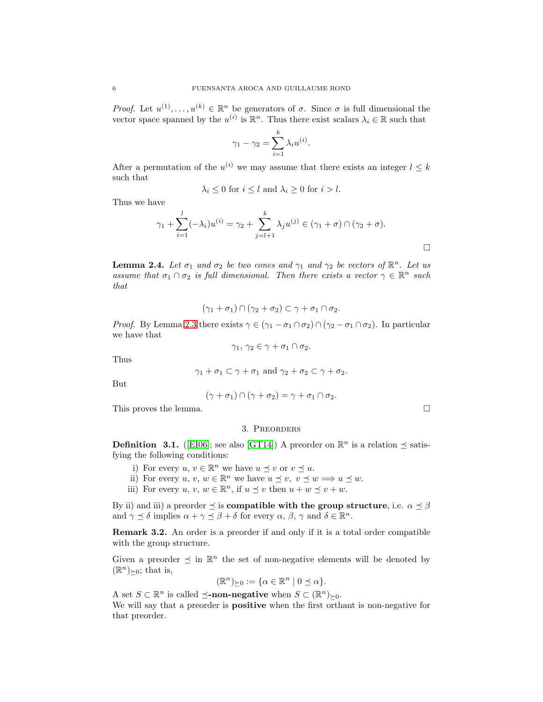*Proof.* Let  $u^{(1)}, \ldots, u^{(k)} \in \mathbb{R}^n$  be generators of  $\sigma$ . Since  $\sigma$  is full dimensional the vector space spanned by the  $u^{(i)}$  is  $\mathbb{R}^n$ . Thus there exist scalars  $\lambda_i \in \mathbb{R}$  such that

$$
\gamma_1 - \gamma_2 = \sum_{i=1}^k \lambda_i u^{(i)}.
$$

After a permutation of the  $u^{(i)}$  we may assume that there exists an integer  $l \leq k$ such that

$$
\lambda_i \le 0 \text{ for } i \le l \text{ and } \lambda_i \ge 0 \text{ for } i > l.
$$

Thus we have

$$
\gamma_1 + \sum_{i=1}^l (-\lambda_i) u^{(i)} = \gamma_2 + \sum_{j=l+1}^k \lambda_j u^{(j)} \in (\gamma_1 + \sigma) \cap (\gamma_2 + \sigma).
$$

<span id="page-5-1"></span>**Lemma 2.4.** Let  $\sigma_1$  and  $\sigma_2$  be two cones and  $\gamma_1$  and  $\gamma_2$  be vectors of  $\mathbb{R}^n$ . Let us assume that  $\sigma_1 \cap \sigma_2$  is full dimensional. Then there exists a vector  $\gamma \in \mathbb{R}^n$  such that

$$
(\gamma_1 + \sigma_1) \cap (\gamma_2 + \sigma_2) \subset \gamma + \sigma_1 \cap \sigma_2.
$$

*Proof.* By Lemma [2.3](#page-4-0) there exists  $\gamma \in (\gamma_1 - \sigma_1 \cap \sigma_2) \cap (\gamma_2 - \sigma_1 \cap \sigma_2)$ . In particular we have that

$$
\gamma_1, \, \gamma_2 \in \gamma + \sigma_1 \cap \sigma_2.
$$

Thus

$$
\gamma_1 + \sigma_1 \subset \gamma + \sigma_1
$$
 and  $\gamma_2 + \sigma_2 \subset \gamma + \sigma_2$ .

But

$$
(\gamma + \sigma_1) \cap (\gamma + \sigma_2) = \gamma + \sigma_1 \cap \sigma_2.
$$

<span id="page-5-0"></span>This proves the lemma.  $\Box$ 

## 3. Preorders

**Definition 3.1.** ([\[EI06\]](#page-29-12); see also [\[GT14\]](#page-29-13)) A preorder on  $\mathbb{R}^n$  is a relation  $\preceq$  satisfying the following conditions:

- i) For every  $u, v \in \mathbb{R}^n$  we have  $u \preceq v$  or  $v \preceq u$ .
- ii) For every  $u, v, w \in \mathbb{R}^n$  we have  $u \preceq v, v \preceq w \Longrightarrow u \preceq w$ .
- iii) For every  $u, v, w \in \mathbb{R}^n$ , if  $u \preceq v$  then  $u + w \preceq v + w$ .

By ii) and iii) a preorder  $\preceq$  is **compatible with the group structure**, i.e.  $\alpha \preceq \beta$ and  $\gamma \preceq \delta$  implies  $\alpha + \gamma \preceq \beta + \delta$  for every  $\alpha, \beta, \gamma$  and  $\delta \in \mathbb{R}^n$ .

Remark 3.2. An order is a preorder if and only if it is a total order compatible with the group structure.

Given a preorder  $\leq$  in  $\mathbb{R}^n$  the set of non-negative elements will be denoted by  $(\mathbb{R}^n)_{\succeq 0}$ ; that is,

$$
(\mathbb{R}^n)_{\succeq 0} := \{ \alpha \in \mathbb{R}^n \mid 0 \le \alpha \}.
$$

A set  $S \subset \mathbb{R}^n$  is called  $\preceq$ **-non-negative** when  $S \subset (\mathbb{R}^n)_{\succeq 0}$ .

We will say that a preorder is **positive** when the first orthant is non-negative for that preorder.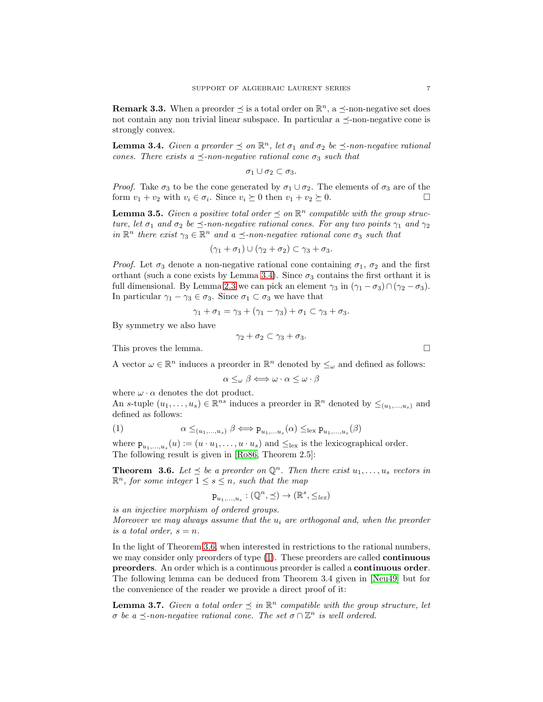<span id="page-6-4"></span>**Remark 3.3.** When a preorder  $\leq$  is a total order on  $\mathbb{R}^n$ , a  $\leq$ -non-negative set does not contain any non trivial linear subspace. In particular a  $\preceq$ -non-negative cone is strongly convex.

<span id="page-6-1"></span>**Lemma 3.4.** Given a preorder  $\leq$  on  $\mathbb{R}^n$ , let  $\sigma_1$  and  $\sigma_2$  be  $\preceq$ -non-negative rational cones. There exists a  $\preceq$ -non-negative rational cone  $\sigma_3$  such that

$$
\sigma_1 \cup \sigma_2 \subset \sigma_3.
$$

*Proof.* Take  $\sigma_3$  to be the cone generated by  $\sigma_1 \cup \sigma_2$ . The elements of  $\sigma_3$  are of the form  $v_1 + v_2$  with  $v_i \in \sigma_i$ . Since  $v_i \succeq 0$  then  $v_1 + v_2 \succeq 0$ form  $v_1 + v_2$  with  $v_i \in \sigma_i$ . Since  $v_i \succeq 0$  then  $v_1 + v_2 \succeq 0$ .

<span id="page-6-5"></span>**Lemma 3.5.** Given a positive total order  $\leq$  on  $\mathbb{R}^n$  compatible with the group structure, let  $\sigma_1$  and  $\sigma_2$  be  $\preceq$ -non-negative rational cones. For any two points  $\gamma_1$  and  $\gamma_2$ in  $\mathbb{R}^n$  there exist  $\gamma_3 \in \mathbb{R}^n$  and  $a \preceq$ -non-negative rational cone  $\sigma_3$  such that

$$
(\gamma_1+\sigma_1)\cup(\gamma_2+\sigma_2)\subset\gamma_3+\sigma_3.
$$

*Proof.* Let  $\sigma_3$  denote a non-negative rational cone containing  $\sigma_1$ ,  $\sigma_2$  and the first orthant (such a cone exists by Lemma [3.4\)](#page-6-1). Since  $\sigma_3$  contains the first orthant it is full dimensional. By Lemma [2.3](#page-4-0) we can pick an element  $\gamma_3$  in  $(\gamma_1 - \sigma_3) \cap (\gamma_2 - \sigma_3)$ . In particular  $\gamma_1 - \gamma_3 \in \sigma_3$ . Since  $\sigma_1 \subset \sigma_3$  we have that

$$
\gamma_1 + \sigma_1 = \gamma_3 + (\gamma_1 - \gamma_3) + \sigma_1 \subset \gamma_3 + \sigma_3.
$$

By symmetry we also have

$$
\gamma_2+\sigma_2\subset \gamma_3+\sigma_3.
$$

This proves the lemma.

A vector  $\omega \in \mathbb{R}^n$  induces a preorder in  $\mathbb{R}^n$  denoted by  $\leq_{\omega}$  and defined as follows:

<span id="page-6-3"></span>
$$
\alpha \leq_{\omega} \beta \Longleftrightarrow \omega \cdot \alpha \leq \omega \cdot \beta
$$

where  $\omega \cdot \alpha$  denotes the dot product.

An s-tuple  $(u_1, \ldots, u_s) \in \mathbb{R}^{ns}$  induces a preorder in  $\mathbb{R}^n$  denoted by  $\leq_{(u_1, \ldots, u_s)}$  and defined as follows:

(1) 
$$
\alpha \leq_{(u_1,...,u_s)} \beta \Longleftrightarrow \mathbf{p}_{u_1,...u_s}(\alpha) \leq_{\text{lex}} \mathbf{p}_{u_1,...,u_s}(\beta)
$$

where  $\mathbf{p}_{u_1,...,u_s}(u) := (u \cdot u_1, \dots, u \cdot u_s)$  and  $\leq_{\text{lex}}$  is the lexicographical order. The following result is given in [\[Ro86,](#page-30-1) Theorem 2.5]:

<span id="page-6-2"></span>**Theorem 3.6.** Let  $\leq$  be a preorder on  $\mathbb{Q}^n$ . Then there exist  $u_1, \ldots, u_s$  vectors in  $\mathbb{R}^n$ , for some integer  $1 \leq s \leq n$ , such that the map

$$
\mathbf{p}_{u_1,\ldots,u_s} : (\mathbb{Q}^n, \preceq) \to (\mathbb{R}^s, \leq_{lex})
$$

is an injective morphism of ordered groups. Moreover we may always assume that the  $u_i$  are orthogonal and, when the preorder is a total order,  $s = n$ .

In the light of Theorem [3.6,](#page-6-2) when interested in restrictions to the rational numbers, we may consider only preorders of type [\(1\)](#page-6-3). These preorders are called continuous preorders. An order which is a continuous preorder is called a continuous order. The following lemma can be deduced from Theorem 3.4 given in [\[Neu49\]](#page-29-14) but for the convenience of the reader we provide a direct proof of it:

<span id="page-6-0"></span>**Lemma 3.7.** Given a total order  $\leq$  in  $\mathbb{R}^n$  compatible with the group structure, let  $\sigma$  be a  $\preceq$ -non-negative rational cone. The set  $\sigma \cap \mathbb{Z}^n$  is well ordered.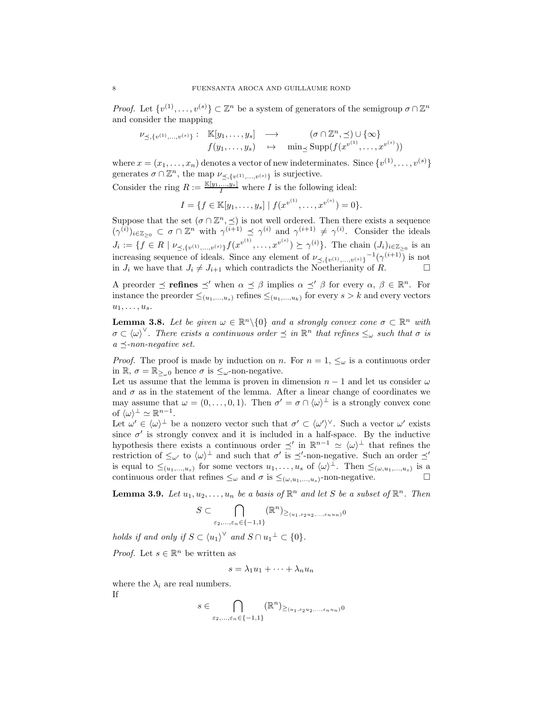*Proof.* Let  $\{v^{(1)}, \ldots, v^{(s)}\} \subset \mathbb{Z}^n$  be a system of generators of the semigroup  $\sigma \cap \mathbb{Z}^n$ and consider the mapping

$$
\nu_{\preceq,\{v^{(1)},\ldots,v^{(s)}\}}:\mathbb{K}[y_1,\ldots,y_s] \longrightarrow (\sigma \cap \mathbb{Z}^n,\preceq) \cup \{\infty\}
$$
  

$$
f(y_1,\ldots,y_s) \rightarrow \min_{\preceq} \text{Supp}(f(x^{v^{(1)}},\ldots,x^{v^{(s)}}))
$$

where  $x = (x_1, \ldots, x_n)$  denotes a vector of new indeterminates. Since  $\{v^{(1)}, \ldots, v^{(s)}\}$ generates  $\sigma \cap \mathbb{Z}^n$ , the map  $\nu_{\preceq,\{v^{(1)},...,v^{(s)}\}}$  is surjective.

Consider the ring  $R := \frac{\mathbb{K}[y_1, ..., y_s]}{I}$  where I is the following ideal:

$$
I = \{ f \in \mathbb{K}[y_1, \ldots, y_s] \mid f(x^{v^{(1)}}, \ldots, x^{v^{(s)}}) = 0 \}.
$$

Suppose that the set  $(\sigma \cap \mathbb{Z}^n, \leq)$  is not well ordered. Then there exists a sequence  $({\gamma}^{(i)})_{i\in\mathbb{Z}_{\geq 0}}\subset \sigma\cap\mathbb{Z}^n$  with  $\gamma^{(i+1)}\preceq\gamma^{(i)}$  and  $\gamma^{(i+1)}\neq\gamma^{(i)}$ . Consider the ideals  $J_i := \{ f \in R \mid \nu_{\leq \{v^{(1)}, \dots, v^{(s)}\}} f(x^{v^{(1)}}, \dots, x^{v^{(s)}}) \succeq \gamma^{(i)} \}.$  The chain  $(J_i)_{i \in \mathbb{Z}_{\geq 0}}$  is an increasing sequence of ideals. Since any element of  $\nu_{\preceq,\{v^{(1)},...,v^{(s)}\}}^{-1}(\gamma^{(i+1)})$  is not in  $J_i$  we have that  $J_i \neq J_{i+1}$  which contradicts the Noetherianity of R.

A preorder  $\leq$  refines  $\leq'$  when  $\alpha \leq \beta$  implies  $\alpha \leq' \beta$  for every  $\alpha, \beta \in \mathbb{R}^n$ . For instance the preorder  $\leq_{(u_1,...,u_s)}$  refines  $\leq_{(u_1,...,u_k)}$  for every  $s > k$  and every vectors  $u_1, \ldots, u_s.$ 

<span id="page-7-1"></span>**Lemma 3.8.** Let be given  $\omega \in \mathbb{R}^n \setminus \{0\}$  and a strongly convex cone  $\sigma \subset \mathbb{R}^n$  with  $\sigma \subset (\omega)^{\vee}$ . There exists a continuous order  $\preceq$  in  $\mathbb{R}^n$  that refines  $\leq_{\omega}$  such that  $\sigma$  is  $a \prec$ -non-negative set.

*Proof.* The proof is made by induction on n. For  $n = 1, \leq_{\omega}$  is a continuous order in  $\mathbb{R}, \sigma = \mathbb{R}_{\geq 0}$  hence  $\sigma$  is  $\leq_{\omega}$ -non-negative.

Let us assume that the lemma is proven in dimension  $n-1$  and let us consider  $\omega$ and  $\sigma$  as in the statement of the lemma. After a linear change of coordinates we may assume that  $\omega = (0, \ldots, 0, 1)$ . Then  $\sigma' = \sigma \cap \langle \omega \rangle^{\perp}$  is a strongly convex cone of  $\langle \omega \rangle^{\perp} \simeq \mathbb{R}^{n-1}$ .

Let  $\omega' \in {\langle \omega \rangle}^{\perp}$  be a nonzero vector such that  $\sigma' \subset {\langle \omega' \rangle}^{\vee}$ . Such a vector  $\omega'$  exists since  $\sigma'$  is strongly convex and it is included in a half-space. By the inductive hypothesis there exists a continuous order  $\preceq'$  in  $\mathbb{R}^{n-1} \simeq \langle \omega \rangle^{\perp}$  that refines the restriction of  $\leq_{\omega'}$  to  $\langle \omega \rangle^{\perp}$  and such that  $\sigma'$  is  $\preceq'$ -non-negative. Such an order  $\preceq'$ is equal to  $\leq_{(u_1,...,u_s)}$  for some vectors  $u_1,...,u_s$  of  $\langle \omega \rangle^{\perp}$ . Then  $\leq_{(\omega,u_1,...,u_s)}$  is a continuous order that refines  $\leq_{\omega}$  and  $\sigma$  is  $\leq_{(\omega, u_1,...,u_s)}$ -non-negative.

<span id="page-7-0"></span>**Lemma 3.9.** Let  $u_1, u_2, \ldots, u_n$  be a basis of  $\mathbb{R}^n$  and let S be a subset of  $\mathbb{R}^n$ . Then

$$
S \subset \bigcap_{\varepsilon_2,\ldots,\varepsilon_n \in \{-1,1\}} (\mathbb{R}^n)_{\geq_{(u_1,\varepsilon_2 u_2,\ldots,\varepsilon_n u_n)} 0}
$$

holds if and only if  $S \subset \langle u_1 \rangle^\vee$  and  $S \cap u_1^\perp \subset \{0\}.$ 

*Proof.* Let  $s \in \mathbb{R}^n$  be written as

$$
s = \lambda_1 u_1 + \dots + \lambda_n u_n
$$

where the  $\lambda_i$  are real numbers. If

$$
s \in \bigcap_{\varepsilon_2, \dots, \varepsilon_n \in \{-1, 1\}} (\mathbb{R}^n)_{\geq (u_1, \varepsilon_2 u_2, \dots, \varepsilon_n u_n)} 0
$$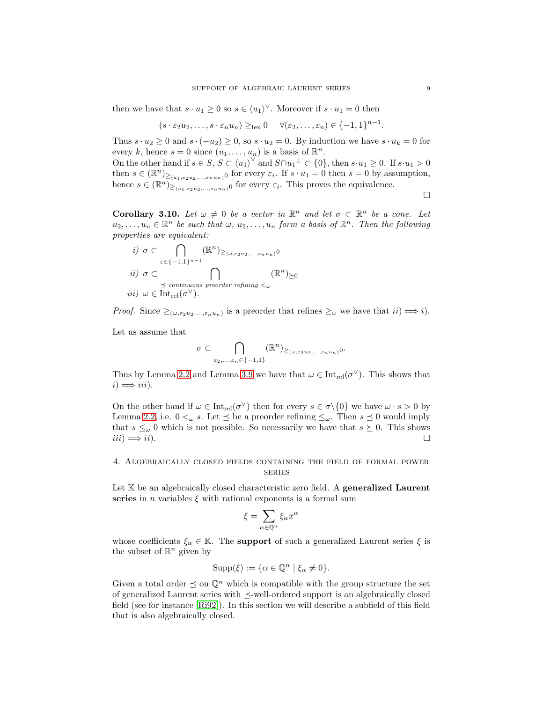then we have that  $s \cdot u_1 \geq 0$  so  $s \in \langle u_1 \rangle^{\vee}$ . Moreover if  $s \cdot u_1 = 0$  then

$$
(s \cdot \varepsilon_2 u_2, \ldots, s \cdot \varepsilon_n u_n) \geq_{\text{lex}} 0 \quad \forall (\varepsilon_2, \ldots, \varepsilon_n) \in \{-1, 1\}^{n-1}.
$$

Thus  $s \cdot u_2 \geq 0$  and  $s \cdot (-u_2) \geq 0$ , so  $s \cdot u_2 = 0$ . By induction we have  $s \cdot u_k = 0$  for every k, hence  $s = 0$  since  $(u_1, \ldots, u_n)$  is a basis of  $\mathbb{R}^n$ .

On the other hand if  $s \in S$ ,  $S \subset \langle u_1 \rangle^{\vee}$  and  $S \cap u_1^{\perp} \subset \{0\}$ , then  $s \cdot u_1 \geq 0$ . If  $s \cdot u_1 > 0$ then  $s \in (\mathbb{R}^n)_{\geq (u_1, \varepsilon_2 u_2, ..., \varepsilon_n u_n)}$  for every  $\varepsilon_i$ . If  $s \cdot u_1 = 0$  then  $s = 0$  by assumption, hence  $s \in (\mathbb{R}^n)_{\geq (u_1, \varepsilon_2 u_2, ..., \varepsilon_n u_n)}$  for every  $\varepsilon_i$ . This proves the equivalence.

 $\Box$ 

<span id="page-8-1"></span>**Corollary 3.10.** Let  $\omega \neq 0$  be a vector in  $\mathbb{R}^n$  and let  $\sigma \subset \mathbb{R}^n$  be a cone. Let  $u_2, \ldots, u_n \in \mathbb{R}^n$  be such that  $\omega, u_2, \ldots, u_n$  form a basis of  $\mathbb{R}^n$ . Then the following properties are equivalent:

$$
\begin{aligned}\ni) & \sigma \subset \bigcap_{\varepsilon \in \{-1,1\}^{n-1}} (\mathbb{R}^n)_{\geq (\omega, \varepsilon_2 u_2, \dots, \varepsilon_n u_n)} 0 \\
ii) & \sigma \subset \bigcap_{\substack{\preceq \text{ continuous preorder refining } < \omega}} (\mathbb{R}^n)_{\succeq 0} \\
iii) & \omega \in \text{Int}_{\text{rel}}(\sigma^\vee).\n\end{aligned}
$$

*Proof.* Since  $\geq_{(\omega, \varepsilon_2 u_2, ..., \varepsilon_n u_n)}$  is a preorder that refines  $\geq_{\omega}$  we have that  $ii) \Longrightarrow i$ .

Let us assume that

$$
\sigma \subset \bigcap_{\varepsilon_2,\ldots,\varepsilon_n \in \{-1,1\}} (\mathbb{R}^n)_{\geq (\omega,\varepsilon_2 u_2,\ldots,\varepsilon_n u_n) } 0.
$$

Thus by Lemma [2.2](#page-4-1) and Lemma [3.9](#page-7-0) we have that  $\omega \in \text{Int}_{rel}(\sigma^{\vee})$ . This shows that  $i) \Longrightarrow iii$ .

On the other hand if  $\omega \in \text{Int}_{rel}(\sigma^{\vee})$  then for every  $s \in \sigma \setminus \{0\}$  we have  $\omega \cdot s > 0$  by Lemma [2.2,](#page-4-1) i.e.  $0 <_{\omega} s$ . Let  $\preceq$  be a preorder refining  $\leq_{\omega}$ . Then  $s \preceq 0$  would imply that  $s \leq_{\omega} 0$  which is not possible. So necessarily we have that  $s \succeq 0$ . This shows  $iii) \implies ii)$ .  $iii) \Longrightarrow ii$ ).

## <span id="page-8-0"></span>4. Algebraically closed fields containing the field of formal power series

Let K be an algebraically closed characteristic zero field. A generalized Laurent series in *n* variables  $\xi$  with rational exponents is a formal sum

$$
\xi = \sum_{\alpha \in \mathbb{Q}^n} \xi_\alpha x^\alpha
$$

whose coefficients  $\xi_{\alpha} \in \mathbb{K}$ . The **support** of such a generalized Laurent series  $\xi$  is the subset of  $\mathbb{R}^n$  given by

$$
\mathrm{Supp}(\xi):=\{\alpha\in\mathbb{Q}^n\mid \xi_\alpha\neq 0\}.
$$

Given a total order  $\preceq$  on  $\mathbb{Q}^n$  which is compatible with the group structure the set of generalized Laurent series with  $\preceq$ -well-ordered support is an algebraically closed field (see for instance [\[Ri92\]](#page-29-15)). In this section we will describe a subfield of this field that is also algebraically closed.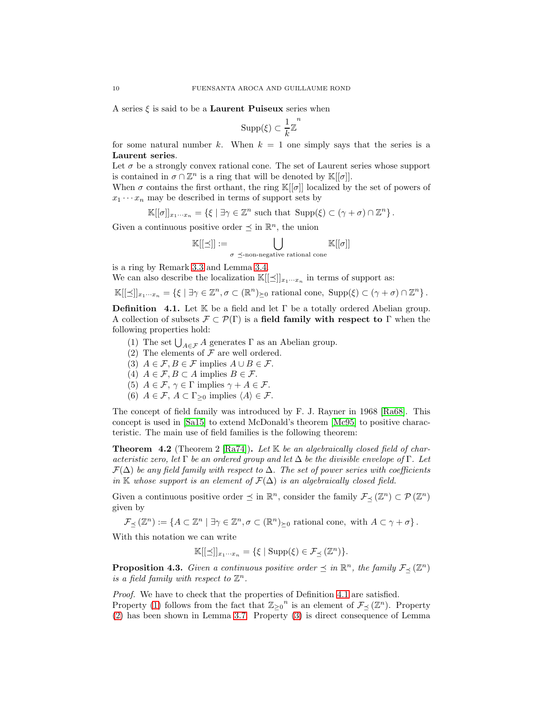A series  $\xi$  is said to be a **Laurent Puiseux** series when

$$
\mathrm{Supp}(\xi)\subset \frac{1}{k}\mathbb{Z}^n
$$

for some natural number k. When  $k = 1$  one simply says that the series is a Laurent series.

Let  $\sigma$  be a strongly convex rational cone. The set of Laurent series whose support is contained in  $\sigma \cap \mathbb{Z}^n$  is a ring that will be denoted by  $\mathbb{K}[[\sigma]].$ 

When  $\sigma$  contains the first orthant, the ring  $\mathbb{K}[[\sigma]]$  localized by the set of powers of  $x_1 \cdots x_n$  may be described in terms of support sets by

$$
\mathbb{K}[[\sigma]]_{x_1\cdots x_n} = \left\{ \xi \mid \exists \gamma \in \mathbb{Z}^n \text{ such that } \operatorname{Supp}(\xi) \subset (\gamma + \sigma) \cap \mathbb{Z}^n \right\}.
$$

Given a continuous positive order  $\preceq$  in  $\mathbb{R}^n$ , the union

$$
\mathbb{K}[[\preceq]] := \bigcup_{\sigma \preceq \text{-non-negative rational cone}} \mathbb{K}[[\sigma]]
$$

is a ring by Remark [3.3](#page-6-4) and Lemma [3.4.](#page-6-1)

We can also describe the localization  $\mathbb{K}[[\leq]]_{x_1\cdots x_n}$  in terms of support as:

 $\mathbb{K}[[\preceq]]_{x_1\cdots x_n} = \{\xi \mid \exists \gamma \in \mathbb{Z}^n, \sigma \subset (\mathbb{R}^n)_{\succeq 0} \text{ rational cone, } \text{Supp}(\xi) \subset (\gamma + \sigma) \cap \mathbb{Z}^n\}.$ 

<span id="page-9-0"></span>**Definition** 4.1. Let K be a field and let  $\Gamma$  be a totally ordered Abelian group. A collection of subsets  $\mathcal{F} \subset \mathcal{P}(\Gamma)$  is a field family with respect to  $\Gamma$  when the following properties hold:

- <span id="page-9-2"></span><span id="page-9-1"></span>(1) The set  $\bigcup_{A \in \mathcal{F}} A$  generates  $\Gamma$  as an Abelian group.
- <span id="page-9-3"></span>(2) The elements of  $\mathcal F$  are well ordered.
- <span id="page-9-4"></span>(3)  $A \in \mathcal{F}, B \in \mathcal{F}$  implies  $A \cup B \in \mathcal{F}$ .
- <span id="page-9-5"></span>(4)  $A \in \mathcal{F}, B \subset A$  implies  $B \in \mathcal{F}.$
- <span id="page-9-6"></span>(5)  $A \in \mathcal{F}, \gamma \in \Gamma$  implies  $\gamma + A \in \mathcal{F}$ .
- (6)  $A \in \mathcal{F}$ ,  $A \subset \Gamma_{\geq 0}$  implies  $\langle A \rangle \in \mathcal{F}$ .

The concept of field family was introduced by F. J. Rayner in 1968 [\[Ra68\]](#page-29-16). This concept is used in [\[Sa15\]](#page-30-2) to extend McDonald's theorem [\[Mc95\]](#page-29-1) to positive characteristic. The main use of field families is the following theorem:

<span id="page-9-8"></span>**Theorem 4.2** (Theorem 2 [\[Ra74\]](#page-29-8)). Let  $K$  be an algebraically closed field of characteristic zero, let Γ be an ordered group and let  $\Delta$  be the divisible envelope of Γ. Let  $\mathcal{F}(\Delta)$  be any field family with respect to  $\Delta$ . The set of power series with coefficients in K whose support is an element of  $\mathcal{F}(\Delta)$  is an algebraically closed field.

Given a continuous positive order  $\preceq$  in  $\mathbb{R}^n$ , consider the family  $\mathcal{F}_{\preceq}(\mathbb{Z}^n) \subset \mathcal{P}(\mathbb{Z}^n)$ given by

 $\mathcal{F}_{\preceq}(\mathbb{Z}^n) := \{ A \subset \mathbb{Z}^n \mid \exists \gamma \in \mathbb{Z}^n, \sigma \subset (\mathbb{R}^n)_{\succeq 0} \text{ rational cone, with } A \subset \gamma + \sigma \}.$ 

With this notation we can write

$$
\mathbb{K}[[\preceq]]_{x_1\cdots x_n} = \{\xi \mid \text{Supp}(\xi) \in \mathcal{F}_{\preceq}(\mathbb{Z}^n)\}.
$$

<span id="page-9-7"></span>**Proposition 4.3.** Given a continuous positive order  $\leq$  in  $\mathbb{R}^n$ , the family  $\mathcal{F}_{\leq}(\mathbb{Z}^n)$ is a field family with respect to  $\mathbb{Z}^n$ .

Proof. We have to check that the properties of Definition [4.1](#page-9-0) are satisfied.

Property [\(1\)](#page-9-1) follows from the fact that  $\mathbb{Z}_{\geq 0}^n$  is an element of  $\mathcal{F}_{\preceq}(\mathbb{Z}^n)$ . Property [\(2\)](#page-9-2) has been shown in Lemma [3.7.](#page-6-0) Property [\(3\)](#page-9-3) is direct consequence of Lemma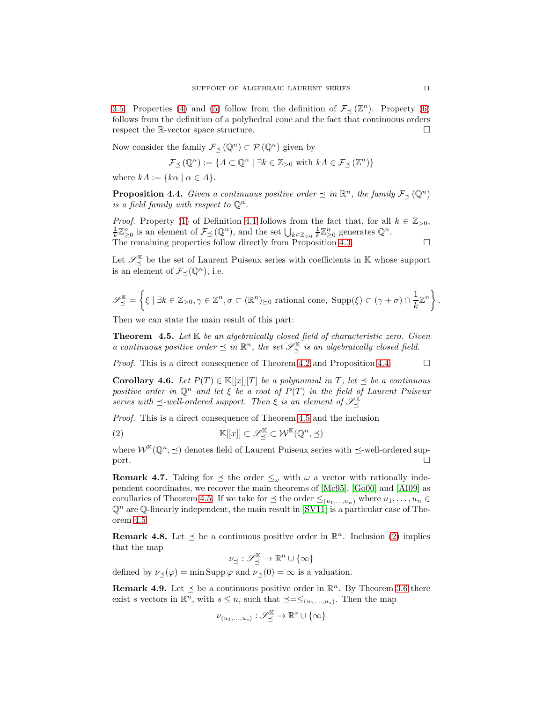[3.5.](#page-6-5) Properties [\(4\)](#page-9-4) and [\(5\)](#page-9-5) follow from the definition of  $\mathcal{F}_{\preceq}(\mathbb{Z}^n)$ . Property [\(6\)](#page-9-6) follows from the definition of a polyhedral cone and the fact that continuous orders respect the R-vector space structure.  $\square$ 

Now consider the family  $\mathcal{F}_{\preceq}(\mathbb{Q}^n) \subset \mathcal{P}(\mathbb{Q}^n)$  given by

$$
\mathcal{F}_{\preceq}(\mathbb{Q}^n) := \{ A \subset \mathbb{Q}^n \mid \exists k \in \mathbb{Z}_{>0} \text{ with } kA \in \mathcal{F}_{\preceq}(\mathbb{Z}^n) \}
$$

where  $kA := \{k\alpha \mid \alpha \in A\}.$ 

<span id="page-10-1"></span>**Proposition 4.4.** Given a continuous positive order  $\preceq$  in  $\mathbb{R}^n$ , the family  $\mathcal{F}_{\preceq}(\mathbb{Q}^n)$ is a field family with respect to  $\mathbb{Q}^n$ .

*Proof.* Property [\(1\)](#page-9-1) of Definition [4.1](#page-9-0) follows from the fact that, for all  $k \in \mathbb{Z}_{>0}$ ,  $\frac{1}{k}\mathbb{Z}_{\geq 0}^n$  is an element of  $\mathcal{F}_{\preceq}(\mathbb{Q}^n)$ , and the set  $\bigcup_{k\in\mathbb{Z}_{>0}}\frac{1}{k}\mathbb{Z}_{\geq 0}^n$  generates  $\mathbb{Q}^n$ . The remaining properties follow directly from Proposition [4.3.](#page-9-7)

Let  $\mathscr{S}_{\preceq}^{\mathbb{K}}$  be the set of Laurent Puiseux series with coefficients in K whose support is an element of  $\mathcal{F}_{\preceq}(\mathbb{Q}^n)$ , i.e.

$$
\mathscr{S}_{\preceq}^{\mathbb{K}} = \left\{ \xi \mid \exists k \in \mathbb{Z}_{>0}, \gamma \in \mathbb{Z}^n, \sigma \subset (\mathbb{R}^n)_{\succeq 0} \text{ rational cone, } \text{Supp}(\xi) \subset (\gamma + \sigma) \cap \frac{1}{k} \mathbb{Z}^n \right\}
$$

Then we can state the main result of this part:

<span id="page-10-0"></span>**Theorem 4.5.** Let  $K$  be an algebraically closed field of characteristic zero. Given a continuous positive order  $\leq$  in  $\mathbb{R}^n$ , the set  $\mathscr{S}_{\preceq}^{\mathbb{K}}$  is an algebraically closed field.

*Proof.* This is a direct consequence of Theorem [4.2](#page-9-8) and Proposition [4.4.](#page-10-1)  $\Box$ 

<span id="page-10-3"></span>Corollary 4.6. Let  $P(T) \in \mathbb{K}[[x]][T]$  be a polynomial in T, let  $\preceq$  be a continuous positive order in  $\mathbb{Q}^n$  and let  $\xi$  be a root of  $P(T)$  in the field of Laurent Puiseux series with  $\preceq$ -well-ordered support. Then  $\xi$  is an element of  $\mathscr{S}_{\preceq}^{\mathbb{K}}$ 

Proof. This is a direct consequence of Theorem [4.5](#page-10-0) and the inclusion

<span id="page-10-2"></span>(2) 
$$
\mathbb{K}[[x]] \subset \mathscr{S}_{\preceq}^{\mathbb{K}} \subset \mathcal{W}^{\mathbb{K}}(\mathbb{Q}^n, \preceq)
$$

where  $W^{\mathbb{K}}(\mathbb{Q}^n, \preceq)$  denotes field of Laurent Puiseux series with  $\preceq$ -well-ordered sup-<br>port.  $\Box$ 

**Remark 4.7.** Taking for  $\leq$  the order  $\leq_{\omega}$  with  $\omega$  a vector with rationally independent coordinates, we recover the main theorems of [\[Mc95\]](#page-29-1), [\[Go00\]](#page-29-2) and [\[AI09\]](#page-29-3) as corollaries of Theorem [4.5.](#page-10-0) If we take for  $\leq$  the order  $\leq_{(u_1,...,u_n)}$  where  $u_1,...,u_n \in$  $\mathbb{Q}^n$  are  $\mathbb{Q}$ -linearly independent, the main result in [\[SV11\]](#page-30-0) is a particular case of Theorem [4.5.](#page-10-0)

**Remark 4.8.** Let  $\leq$  be a continuous positive order in  $\mathbb{R}^n$ . Inclusion [\(2\)](#page-10-2) implies that the map

$$
\nu_{\preceq}: \mathscr{S}_{\preceq}^{\mathbb{K}} \to \mathbb{R}^{n} \cup \{\infty\}
$$

defined by  $\nu_{\leq}(\varphi) = \min \text{Supp }\varphi \text{ and } \nu_{\leq}(0) = \infty$  is a valuation.

**Remark 4.9.** Let  $\leq$  be a continuous positive order in  $\mathbb{R}^n$ . By Theorem [3.6](#page-6-2) there exist s vectors in  $\mathbb{R}^n$ , with  $s \leq n$ , such that  $\preceq = \leq_{(u_1,...,u_s)}$ . Then the map

$$
\nu_{(u_1,\ldots,u_s)}:\mathscr{S}_{\preceq}^{\mathbb{K}}\to\mathbb{R}^s\cup\{\infty\}
$$

.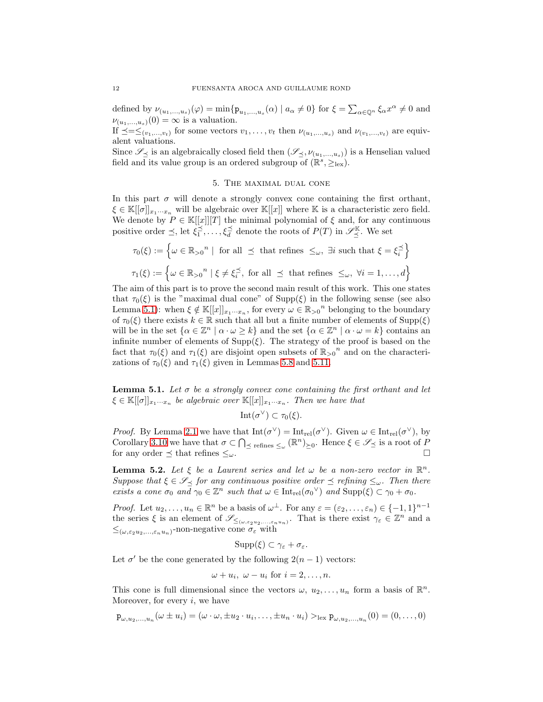defined by  $\nu_{(u_1,...,u_s)}(\varphi) = \min\{p_{u_1,...,u_s}(\alpha) \mid a_\alpha \neq 0\}$  for  $\xi = \sum_{\alpha \in \mathbb{Q}^n} \xi_\alpha x^\alpha \neq 0$  and  $\nu_{(u_1,...,u_s)}(0) = \infty$  is a valuation.

If  $\preceq=\leq_{(v_1,...,v_t)}$  for some vectors  $v_1,...,v_t$  then  $\nu_{(u_1,...,u_s)}$  and  $\nu_{(v_1,...,v_t)}$  are equivalent valuations.

<span id="page-11-0"></span>Since  $\mathscr{S}_{\preceq}$  is an algebraically closed field then  $(\mathscr{S}_{\preceq}, \nu_{(u_1,...,u_s)})$  is a Henselian valued field and its value group is an ordered subgroup of  $(\mathbb{R}^s, \geq_{\text{lex}})$ .

### 5. The maximal dual cone

In this part  $\sigma$  will denote a strongly convex cone containing the first orthant,  $\xi \in \mathbb{K}[[\sigma]]_{x_1\cdots x_n}$  will be algebraic over  $\mathbb{K}[[x]]$  where K is a characteristic zero field. We denote by  $P \in \mathbb{K}[[x]][T]$  the minimal polynomial of  $\xi$  and, for any continuous positive order  $\leq$ , let  $\xi_1^{\leq}$ ,...,  $\xi_d^{\leq}$  denote the roots of  $P(T)$  in  $\mathscr{S}_{\preceq}^{\mathbb{K}}$ . We set

$$
\tau_0(\xi) := \left\{ \omega \in \mathbb{R}_{>0}^n \mid \text{ for all } \preceq \text{ that refines } \leq_\omega, \exists i \text{ such that } \xi = \xi_i^{\preceq} \right\}
$$

$$
\tau_1(\xi) := \left\{ \omega \in \mathbb{R}_{>0}^n \mid \xi \neq \xi_i^{\preceq}, \text{ for all } \preceq \text{ that refines } \leq_\omega, \forall i = 1, \dots, d \right\}
$$

The aim of this part is to prove the second main result of this work. This one states that  $\tau_0(\xi)$  is the "maximal dual cone" of Supp( $\xi$ ) in the following sense (see also Lemma [5.1\)](#page-11-1): when  $\xi \notin \mathbb{K}[[x]]_{x_1\cdots x_n}$ , for every  $\omega \in \mathbb{R}_{>0}^n$  belonging to the boundary of  $\tau_0(\xi)$  there exists  $k \in \mathbb{R}$  such that all but a finite number of elements of  $\text{Supp}(\xi)$ will be in the set  $\{\alpha \in \mathbb{Z}^n \mid \alpha \cdot \omega \geq k\}$  and the set  $\{\alpha \in \mathbb{Z}^n \mid \alpha \cdot \omega = k\}$  contains an infinite number of elements of  $\text{Supp}(\xi)$ . The strategy of the proof is based on the fact that  $\tau_0(\xi)$  and  $\tau_1(\xi)$  are disjoint open subsets of  $\mathbb{R}_{>0}^n$  and on the characterizations of  $\tau_0(\xi)$  and  $\tau_1(\xi)$  given in Lemmas [5.8](#page-15-0) and [5.11.](#page-16-0)

<span id="page-11-1"></span>**Lemma 5.1.** Let  $\sigma$  be a strongly convex cone containing the first orthant and let  $\xi \in \mathbb{K}[[\sigma]]_{x_1\cdots x_n}$  be algebraic over  $\mathbb{K}[[x]]_{x_1\cdots x_n}$ . Then we have that

Int $(\sigma^{\vee}) \subset \tau_0(\xi)$ .

*Proof.* By Lemma [2.1](#page-4-2) we have that  $Int(\sigma^{\vee}) = Int_{rel}(\sigma^{\vee})$ . Given  $\omega \in Int_{rel}(\sigma^{\vee})$ , by Corollary [3.10](#page-8-1) we have that  $\sigma \subset \bigcap_{\leq \text{refines } \leq \omega} (\mathbb{R}^n)_{\geq 0}$ . Hence  $\xi \in \mathscr{S}_{\preceq}$  is a root of P for any order  $\preceq$  that refines  $\leq_\omega$ .

<span id="page-11-2"></span>**Lemma 5.2.** Let  $\xi$  be a Laurent series and let  $\omega$  be a non-zero vector in  $\mathbb{R}^n$ . Suppose that  $\xi \in \mathcal{S}_{\prec}$  for any continuous positive order  $\preceq$  refining  $\leq_{\omega}$ . Then there exists a cone  $\sigma_0$  and  $\gamma_0 \in \mathbb{Z}^n$  such that  $\omega \in \text{Int}_{rel}(\sigma_0^{\vee})$  and  $\text{Supp}(\xi) \subset \gamma_0 + \sigma_0$ .

*Proof.* Let  $u_2, \ldots, u_n \in \mathbb{R}^n$  be a basis of  $\omega^{\perp}$ . For any  $\varepsilon = (\varepsilon_2, \ldots, \varepsilon_n) \in \{-1, 1\}^{n-1}$ the series  $\xi$  is an element of  $\mathscr{S}_{\leq(\omega,\varepsilon_2 u_2,\dots,\varepsilon_n u_n)}$ . That is there exist  $\gamma_{\varepsilon} \in \mathbb{Z}^n$  and a  $\leq_{(\omega,\varepsilon_2 u_2,\ldots,\varepsilon_n u_n)}$ -non-negative cone  $\sigma_{\varepsilon}$  with

$$
\mathrm{Supp}(\xi)\subset\gamma_{\varepsilon}+\sigma_{\varepsilon}.
$$

Let  $\sigma'$  be the cone generated by the following  $2(n-1)$  vectors:

$$
\omega + u_i, \ \omega - u_i \text{ for } i = 2, \dots, n.
$$

This cone is full dimensional since the vectors  $\omega, u_2, \ldots, u_n$  form a basis of  $\mathbb{R}^n$ . Moreover, for every  $i$ , we have

$$
\mathbf{p}_{\omega,u_2,\dots,u_n}(\omega \pm u_i) = (\omega \cdot \omega, \pm u_2 \cdot u_i, \dots, \pm u_n \cdot u_i) >_{\text{lex}} \mathbf{p}_{\omega,u_2,\dots,u_n}(0) = (0,\dots,0)
$$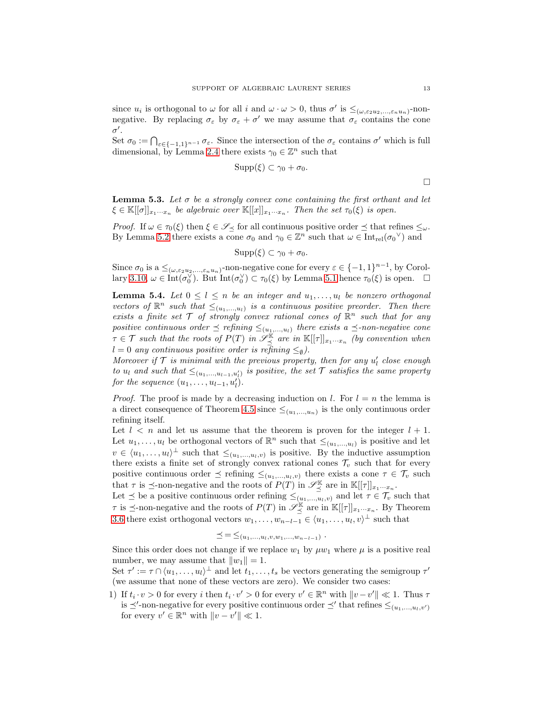since  $u_i$  is orthogonal to  $\omega$  for all i and  $\omega \cdot \omega > 0$ , thus  $\sigma'$  is  $\leq_{(\omega, \varepsilon_2 u_2, ..., \varepsilon_n u_n)}$ -nonnegative. By replacing  $\sigma_{\varepsilon}$  by  $\sigma_{\varepsilon} + \sigma'$  we may assume that  $\sigma_{\varepsilon}$  contains the cone  $\sigma'.$ 

Set  $\sigma_0 := \bigcap_{\varepsilon \in \{-1,1\}^{n-1}} \sigma_{\varepsilon}$ . Since the intersection of the  $\sigma_{\varepsilon}$  contains  $\sigma'$  which is full dimensional, by Lemma [2.4](#page-5-1) there exists  $\gamma_0 \in \mathbb{Z}^n$  such that

$$
\mathrm{Supp}(\xi)\subset\gamma_0+\sigma_0.
$$

 $\Box$ 

**Lemma 5.3.** Let  $\sigma$  be a strongly convex cone containing the first orthant and let  $\xi \in \mathbb{K}[[\sigma]]_{x_1\cdots x_n}$  be algebraic over  $\mathbb{K}[[x]]_{x_1\cdots x_n}$ . Then the set  $\tau_0(\xi)$  is open.

*Proof.* If  $\omega \in \tau_0(\xi)$  then  $\xi \in \mathscr{S}_{\preceq}$  for all continuous positive order  $\preceq$  that refines  $\leq_\omega$ . By Lemma [5.2](#page-11-2) there exists a cone  $\sigma_0$  and  $\gamma_0 \in \mathbb{Z}^n$  such that  $\omega \in \text{Int}_{rel}(\sigma_0^{\vee})$  and

$$
\mathrm{Supp}(\xi)\subset\gamma_0+\sigma_0.
$$

Since  $\sigma_0$  is a  $\leq_{(\omega,\varepsilon_2 u_2,...,\varepsilon_n u_n)}$ -non-negative cone for every  $\varepsilon \in \{-1,1\}^{n-1}$ , by Corol-lary [3.10,](#page-8-1)  $\omega \in \text{Int}(\sigma_0^{\vee})$ . But  $\text{Int}(\sigma_0^{\vee}) \subset \tau_0(\xi)$  by Lemma [5.1](#page-11-1) hence  $\tau_0(\xi)$  is open.  $\Box$ 

<span id="page-12-0"></span>**Lemma 5.4.** Let  $0 \leq l \leq n$  be an integer and  $u_1, \ldots, u_l$  be nonzero orthogonal vectors of  $\mathbb{R}^n$  such that  $\leq_{(u_1,...,u_l)}$  is a continuous positive preorder. Then there exists a finite set  $T$  of strongly convex rational cones of  $\mathbb{R}^n$  such that for any positive continuous order  $\preceq$  refining  $\leq_{(u_1,...,u_l)}$  there exists a  $\preceq$ -non-negative cone  $\tau \in \mathcal{T}$  such that the roots of  $P(T)$  in  $\mathscr{S}_{\preceq}^{\mathbb{K}}$  are in  $\mathbb{K}[[\tau]]_{x_1\cdots x_n}$  (by convention when  $l = 0$  any continuous positive order is refining  $\leq_{\emptyset}$ ).

Moreover if  $\mathcal T$  is minimal with the previous property, then for any  $u'_l$  close enough to  $u_l$  and such that  $\leq_{(u_1,...,u_{l-1},u'_l)}$  is positive, the set  $\mathcal T$  satisfies the same property for the sequence  $(u_1, \ldots, u_{l-1}, u'_l)$ .

*Proof.* The proof is made by a decreasing induction on l. For  $l = n$  the lemma is a direct consequence of Theorem [4.5](#page-10-0) since  $\leq_{(u_1,...,u_n)}$  is the only continuous order refining itself.

Let  $l < n$  and let us assume that the theorem is proven for the integer  $l + 1$ . Let  $u_1, \ldots, u_l$  be orthogonal vectors of  $\mathbb{R}^n$  such that  $\leq_{(u_1,\ldots,u_l)}$  is positive and let  $v \in \langle u_1, \ldots, u_l \rangle^{\perp}$  such that  $\leq_{(u_1, \ldots, u_l, v)}$  is positive. By the inductive assumption there exists a finite set of strongly convex rational cones  $\mathcal{T}_v$  such that for every positive continuous order  $\leq$  refining  $\leq_{(u_1,...,u_l,v)}$  there exists a cone  $\tau \in \mathcal{T}_v$  such that  $\tau$  is  $\preceq$ -non-negative and the roots of  $P(T)$  in  $\mathscr{S}_{\preceq}^{\mathbb{K}}$  are in  $\mathbb{K}[[\tau]]_{x_1\cdots x_n}$ .

Let  $\leq$  be a positive continuous order refining  $\leq_{(u_1,...,u_l,v)}$  and let  $\tau \in \mathcal{T}_v$  such that  $\tau$  is  $\preceq$ -non-negative and the roots of  $P(T)$  in  $\mathscr{S}_{\preceq}^{\mathbb{K}}$  are in  $\mathbb{K}[[\tau]]_{x_1\cdots x_n}$ . By Theorem [3.6](#page-6-2) there exist orthogonal vectors  $w_1, \ldots, w_{n-l-1} \in \langle u_1, \ldots, u_l, v \rangle^{\perp}$  such that

$$
\preceq = \leq_{(u_1,...,u_l,v,w_1,...,w_{n-l-1})}.
$$

Since this order does not change if we replace  $w_1$  by  $\mu w_1$  where  $\mu$  is a positive real number, we may assume that  $||w_1|| = 1$ .

Set  $\tau' := \tau \cap \langle u_1, \ldots, u_l \rangle^{\perp}$  and let  $t_1, \ldots, t_s$  be vectors generating the semigroup  $\tau'$ (we assume that none of these vectors are zero). We consider two cases:

1) If  $t_i \cdot v > 0$  for every i then  $t_i \cdot v' > 0$  for every  $v' \in \mathbb{R}^n$  with  $||v - v'|| \ll 1$ . Thus  $\tau$ is  $\preceq'$ -non-negative for every positive continuous order  $\preceq'$  that refines  $\leq_{(u_1,...,u_l,v')}$ for every  $v' \in \mathbb{R}^n$  with  $\|v - v'\| \ll 1$ .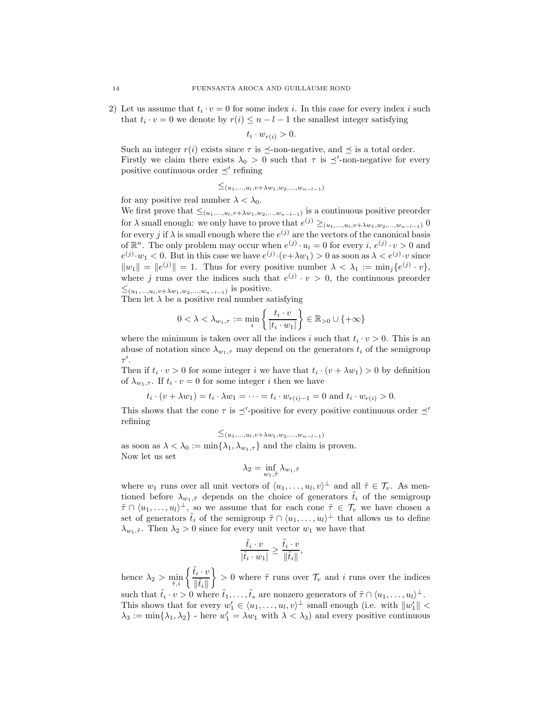2) Let us assume that  $t_i \cdot v = 0$  for some index i. In this case for every index i such that  $t_i \cdot v = 0$  we denote by  $r(i) \leq n - l - 1$  the smallest integer satisfying

$$
t_i \cdot w_{r(i)} > 0.
$$

Such an integer  $r(i)$  exists since  $\tau$  is  $\preceq$ -non-negative, and  $\preceq$  is a total order. Firstly we claim there exists  $\lambda_0 > 0$  such that  $\tau$  is  $\preceq'$ -non-negative for every positive continuous order  $\preceq'$  refining

$$
\leq_{(u_1,...,u_l,v+\lambda w_1,w_2,...,w_{n-l-1})}
$$

for any positive real number  $\lambda < \lambda_0$ .

We first prove that  $\leq_{(u_1,...,u_l,v+\lambda w_1,w_2,...,w_{n-l-1})}$  is a continuous positive preorder for  $\lambda$  small enough: we only have to prove that  $e^{(j)} \geq_{(u_1,...,u_l,v+\lambda w_1,w_2,...,w_{n-l-1})} 0$ for every j if  $\lambda$  is small enough where the  $e^{(j)}$  are the vectors of the canonical basis of  $\mathbb{R}^n$ . The only problem may occur when  $e^{(j)} \cdot u_i = 0$  for every  $i, e^{(j)} \cdot v > 0$  and  $e^{(j)} \cdot w_1 < 0$ . But in this case we have  $e^{(j)} \cdot (v + \lambda w_1) > 0$  as soon as  $\lambda < e^{(j)} \cdot v$  since  $||w_1|| = ||e^{(j)}|| = 1$ . Thus for every positive number  $\lambda < \lambda_1 := \min_j \{e^{(j)} \cdot v\},\$ where j runs over the indices such that  $e^{(j)} \cdot v > 0$ , the continuous preorder  $\leq_{(u_1,...,u_l,v+\lambda w_1,w_2,...,w_{n-l-1})}$  is positive.

Then let  $\lambda$  be a positive real number satisfying

$$
0 < \lambda < \lambda_{w_1, \tau} := \min_{i} \left\{ \frac{t_i \cdot v}{|t_i \cdot w_1|} \right\} \in \mathbb{R}_{>0} \cup \{ +\infty \}
$$

where the minimum is taken over all the indices i such that  $t_i \cdot v > 0$ . This is an abuse of notation since  $\lambda_{w_1,\tau}$  may depend on the generators  $t_i$  of the semigroup  $\tau'$ .

Then if  $t_i \cdot v > 0$  for some integer i we have that  $t_i \cdot (v + \lambda w_1) > 0$  by definition of  $\lambda_{w_1,\tau}$ . If  $t_i \cdot v = 0$  for some integer *i* then we have

$$
t_i \cdot (v + \lambda w_1) = t_i \cdot \lambda w_1 = \dots = t_i \cdot w_{r(i)-1} = 0
$$
 and  $t_i \cdot w_{r(i)} > 0$ .

This shows that the cone  $\tau$  is  $\preceq'$ -positive for every positive continuous order  $\preceq'$ refining

$$
\leq (u_1,...,u_l,v+\lambda w_1,w_2,...,w_{n-l-1})
$$

as soon as  $\lambda < \lambda_0 := \min\{\lambda_1, \lambda_{w_1,\tau}\}\$  and the claim is proven. Now let us set

$$
\lambda_2=\inf_{w_1,\tilde{\tau}}\lambda_{w_1,\tilde{\tau}}
$$

where  $w_1$  runs over all unit vectors of  $\langle u_1, \ldots, u_l, v \rangle^{\perp}$  and all  $\tilde{\tau} \in \mathcal{T}_v$ . As mentioned before  $\lambda_{w_1,\tilde{\tau}}$  depends on the choice of generators  $\tilde{t}_i$  of the semigroup  $\tilde{\tau} \cap \langle u_1, \ldots, u_l \rangle^{\perp}$ , so we assume that for each cone  $\tilde{\tau} \in \mathcal{T}_v$  we have chosen a set of generators  $\tilde{t}_i$  of the semigroup  $\tilde{\tau} \cap \langle u_1, \ldots, u_l \rangle^{\perp}$  that allows us to define  $\lambda_{w_1,\tilde{\tau}}$ . Then  $\lambda_2 > 0$  since for every unit vector  $w_1$  we have that

$$
\frac{\tilde{t}_i \cdot v}{|\tilde{t}_i \cdot w_1|} \ge \frac{\tilde{t}_i \cdot v}{\|\tilde{t}_i\|},
$$

hence  $\lambda_2 > \min_{\tilde{\tau},i}$  $\int \tilde{t}_i \cdot v$  $\|\tilde{t}_i\|$  $\Big\} > 0$  where  $\tilde{\tau}$  runs over  $\mathcal{T}_v$  and i runs over the indices such that  $\tilde{t}_i \cdot v > 0$  where  $\tilde{t}_1, \ldots, \tilde{t}_s$  are nonzero generators of  $\tilde{\tau} \cap \langle u_1, \ldots, u_l \rangle^{\perp}$ . This shows that for every  $w'_1 \in \langle u_1, \ldots, u_l, v \rangle^{\perp}$  small enough (i.e. with  $||w'_1|| <$  $\lambda_3 := \min\{\lambda_1, \lambda_2\}$  - here  $w_1' = \lambda w_1$  with  $\lambda < \lambda_3$ ) and every positive continuous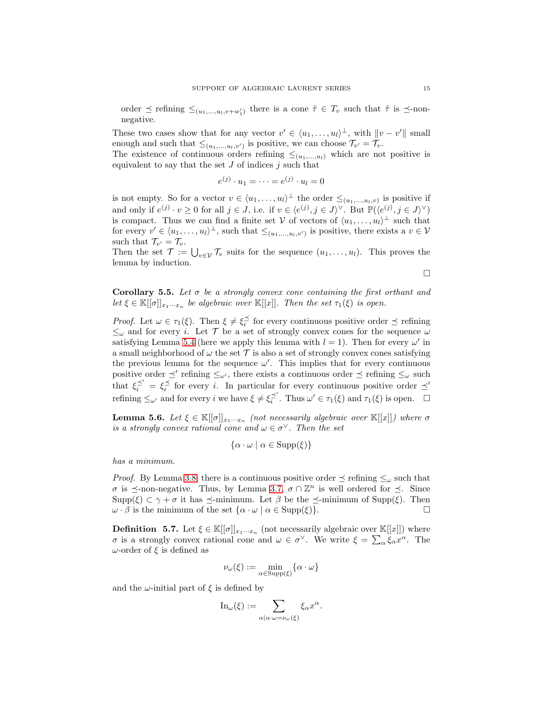order  $\preceq$  refining  $\leq_{(u_1,...,u_l,v+w'_1)}$  there is a cone  $\tilde{\tau} \in T_v$  such that  $\tilde{\tau}$  is  $\preceq$ -nonnegative.

These two cases show that for any vector  $v' \in \langle u_1, \ldots, u_l \rangle^{\perp}$ , with  $||v - v'||$  small enough and such that  $\leq_{(u_1,...,u_l,v')}$  is positive, we can choose  $\mathcal{T}_{v'} = \mathcal{T}_v$ .

The existence of continuous orders refining  $\leq_{(u_1,...,u_l)}$  which are not positive is equivalent to say that the set  $J$  of indices  $j$  such that

$$
e^{(j)} \cdot u_1 = \dots = e^{(j)} \cdot u_l = 0
$$

is not empty. So for a vector  $v \in \langle u_1, \ldots, u_l \rangle^{\perp}$  the order  $\leq_{(u_1, \ldots, u_l, v)}$  is positive if and only if  $e^{(j)} \cdot v \ge 0$  for all  $j \in J$ , i.e. if  $v \in \langle e^{(j)}, j \in J \rangle^{\vee}$ . But  $\mathbb{P}(\langle e^{(j)}, j \in J \rangle^{\vee})$ is compact. Thus we can find a finite set V of vectors of  $\langle u_1, \ldots, u_l \rangle^{\perp}$  such that for every  $v' \in \langle u_1, \ldots, u_l \rangle^{\perp}$ , such that  $\leq_{(u_1, \ldots, u_l, v')}$  is positive, there exists a  $v \in V$ such that  $\mathcal{T}_{v'} = \mathcal{T}_v$ .

Then the set  $\mathcal{T} := \bigcup_{v \in \mathcal{V}} \mathcal{T}_v$  suits for the sequence  $(u_1, \ldots, u_l)$ . This proves the lemma by induction.

 $\Box$ 

Corollary 5.5. Let  $\sigma$  be a strongly convex cone containing the first orthant and let  $\xi \in \mathbb{K}[[\sigma]]_{x_1 \cdots x_n}$  be algebraic over  $\mathbb{K}[[x]]$ . Then the set  $\tau_1(\xi)$  is open.

Proof. Let  $\omega \in \tau_1(\xi)$ . Then  $\xi \neq \xi_i^{\preceq}$  for every continuous positive order  $\preceq$  refining  $\leq_{\omega}$  and for every *i*. Let T be a set of strongly convex cones for the sequence  $\omega$ satisfying Lemma [5.4](#page-12-0) (here we apply this lemma with  $l = 1$ ). Then for every  $\omega'$  in a small neighborhood of  $\omega$  the set  $\mathcal T$  is also a set of strongly convex cones satisfying the previous lemma for the sequence  $\omega'$ . This implies that for every continuous positive order  $\preceq'$  refining  $\leq_{\omega'}$ , there exists a continuous order  $\preceq$  refining  $\leq_{\omega}$  such that  $\xi_i^{\preceq'} = \xi_i^{\preceq}$  for every i. In particular for every continuous positive order  $\preceq'$ refining  $\leq_{\omega'}$  and for every i we have  $\xi \neq \xi_i^{\preceq'}$ . Thus  $\omega' \in \tau_1(\xi)$  and  $\tau_1(\xi)$  is open.  $\Box$ 

<span id="page-14-0"></span>**Lemma 5.6.** Let  $\xi \in \mathbb{K}[[\sigma]]_{x_1...x_n}$  (not necessarily algebraic over  $\mathbb{K}[[x]]$ ) where  $\sigma$ is a strongly convex rational cone and  $\omega \in \sigma^{\vee}$ . Then the set

$$
\{\alpha \cdot \omega \mid \alpha \in \text{Supp}(\xi)\}\
$$

has a minimum.

*Proof.* By Lemma [3.8,](#page-7-1) there is a continuous positive order  $\preceq$  refining  $\leq_{\omega}$  such that  $\sigma$  is  $\preceq$ -non-negative. Thus, by Lemma [3.7,](#page-6-0)  $\sigma \cap \mathbb{Z}^n$  is well ordered for  $\preceq$ . Since Supp(ξ)  $\subset \gamma + \sigma$  it has  $\preceq$ -minimum. Let  $\beta$  be the  $\preceq$ -minimum of Supp(ξ). Then  $\omega \cdot \beta$  is the minimum of the set  $\{\alpha \cdot \omega \mid \alpha \in \text{Supp}(\xi)\}$ .  $\omega \cdot \beta$  is the minimum of the set  $\{\alpha \cdot \omega \mid \alpha \in \text{Supp}(\xi)\}.$ 

**Definition** 5.7. Let  $\xi \in \mathbb{K}[[\sigma]]_{x_1 \cdots x_n}$  (not necessarily algebraic over  $\mathbb{K}[[x]]$ ) where *σ* is a strongly convex rational cone and  $ω ∈ σ<sup>γ</sup>$ . We write  $ξ = ∑<sub>α</sub> ξ<sub>α</sub>x<sup>α</sup>$ . The ω-order of  $ξ$  is defined as

$$
\nu_\omega(\xi):=\min_{\alpha\in\mathrm{Supp}(\xi)}\{\alpha\cdot\omega\}
$$

and the  $\omega$ -initial part of  $\xi$  is defined by

$$
\mathrm{In}_{\omega}(\xi) := \sum_{\alpha | \alpha \cdot \omega = \nu_{\omega}(\xi)} \xi_{\alpha} x^{\alpha}.
$$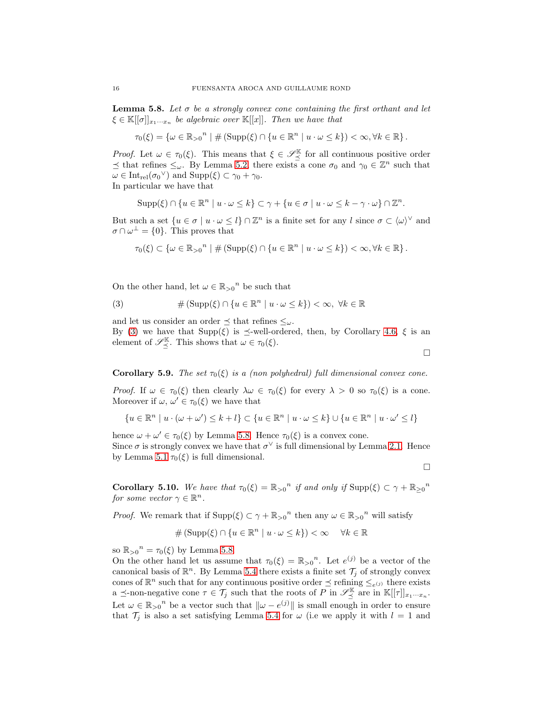<span id="page-15-0"></span>**Lemma 5.8.** Let  $\sigma$  be a strongly convex cone containing the first orthant and let  $\xi \in \mathbb{K}[[\sigma]]_{x_1\cdots x_n}$  be algebraic over  $\mathbb{K}[[x]]$ . Then we have that

$$
\tau_0(\xi) = \{ \omega \in \mathbb{R}_{>0}^n \mid \# \left( \text{Supp}(\xi) \cap \{ u \in \mathbb{R}^n \mid u \cdot \omega \leq k \} \right) < \infty, \forall k \in \mathbb{R} \}.
$$

*Proof.* Let  $\omega \in \tau_0(\xi)$ . This means that  $\xi \in \mathscr{S}_{\preceq}^{\mathbb{K}}$  for all continuous positive order  $\preceq$  that refines  $\leq_{\omega}$ . By Lemma [5.2,](#page-11-2) there exists a cone  $\sigma_0$  and  $\gamma_0 \in \mathbb{Z}^n$  such that  $\omega \in \mathrm{Int}_{rel}(\sigma_0^{\vee})$  and  $\mathrm{Supp}(\xi) \subset \gamma_0 + \gamma_0$ .

In particular we have that

$$
\operatorname{Supp}(\xi) \cap \{u \in \mathbb{R}^n \mid u \cdot \omega \leq k\} \subset \gamma + \{u \in \sigma \mid u \cdot \omega \leq k - \gamma \cdot \omega\} \cap \mathbb{Z}^n.
$$

But such a set  $\{u \in \sigma \mid u \cdot \omega \leq l\} \cap \mathbb{Z}^n$  is a finite set for any  $l$  since  $\sigma \subset \langle \omega \rangle^{\vee}$  and  $\sigma \cap \omega^{\perp} = \{0\}.$  This proves that

$$
\tau_0(\xi) \subset \left\{ \omega \in \mathbb{R}_{>0}^n \mid \# \left( \text{Supp}(\xi) \cap \left\{ u \in \mathbb{R}^n \mid u \cdot \omega \leq k \right\} \right) < \infty, \forall k \in \mathbb{R} \right\}.
$$

On the other hand, let  $\omega \in \mathbb{R}_{>0}^n$  be such that

<span id="page-15-1"></span>(3) 
$$
\#(\mathrm{Supp}(\xi)\cap\{u\in\mathbb{R}^n\mid u\cdot\omega\leq k\})<\infty,\ \forall k\in\mathbb{R}
$$

and let us consider an order  $\preceq$  that refines  $\leq_\omega$ .

By [\(3\)](#page-15-1) we have that  $\text{Supp}(\xi)$  is  $\preceq$ -well-ordered, then, by Corollary [4.6,](#page-10-3)  $\xi$  is an element of  $\mathscr{S}_{\preceq}^{\mathbb{K}}$ . This shows that  $\omega \in \tau_0(\xi)$ .

Corollary 5.9. The set  $\tau_0(\xi)$  is a (non polyhedral) full dimensional convex cone.

Proof. If  $\omega \in \tau_0(\xi)$  then clearly  $\lambda \omega \in \tau_0(\xi)$  for every  $\lambda > 0$  so  $\tau_0(\xi)$  is a cone. Moreover if  $\omega, \omega' \in \tau_0(\xi)$  we have that

$$
\{u\in\mathbb{R}^n\mid u\cdot(\omega+\omega')\leq k+l\}\subset\{u\in\mathbb{R}^n\mid u\cdot\omega\leq k\}\cup\{u\in\mathbb{R}^n\mid u\cdot\omega'\leq l\}
$$

hence  $\omega + \omega' \in \tau_0(\xi)$  by Lemma [5.8.](#page-15-0) Hence  $\tau_0(\xi)$  is a convex cone. Since  $\sigma$  is strongly convex we have that  $\sigma^{\vee}$  is full dimensional by Lemma [2.1.](#page-4-2) Hence by Lemma [5.1](#page-11-1)  $\tau_0(\xi)$  is full dimensional.

 $\Box$ 

 $\Box$ 

<span id="page-15-2"></span>**Corollary 5.10.** We have that  $\tau_0(\xi) = \mathbb{R}_{>0}^n$  if and only if  $\text{Supp}(\xi) \subset \gamma + \mathbb{R}_{\geq 0}^n$ for some vector  $\gamma \in \mathbb{R}^n$ .

*Proof.* We remark that if  $\text{Supp}(\xi) \subset \gamma + \mathbb{R}_{>0}^n$  then any  $\omega \in \mathbb{R}_{>0}^n$  will satisfy

$$
\#(\mathrm{Supp}(\xi)\cap\{u\in\mathbb{R}^n\mid u\cdot\omega\leq k\})<\infty\quad\forall k\in\mathbb{R}
$$

so  $\mathbb{R}_{>0}^n = \tau_0(\xi)$  by Lemma [5.8.](#page-15-0)

On the other hand let us assume that  $\tau_0(\xi) = \mathbb{R}_{>0}^n$ . Let  $e^{(j)}$  be a vector of the canonical basis of  $\mathbb{R}^n$ . By Lemma [5.4](#page-12-0) there exists a finite set  $\mathcal{T}_j$  of strongly convex cones of  $\mathbb{R}^n$  such that for any continuous positive order  $\preceq$  refining  $\leq_{e^{(j)}}$  there exists a  $\preceq$ -non-negative cone  $\tau \in \mathcal{T}_j$  such that the roots of P in  $\mathscr{S}_{\preceq}^{\mathbb{K}}$  are in  $\mathbb{K}[[\tau]]_{x_1\cdots x_n}$ . Let  $\omega \in \mathbb{R}_{>0}^n$  be a vector such that  $\|\omega - e^{(j)}\|$  is small enough in order to ensure that  $\mathcal{T}_j$  is also a set satisfying Lemma [5.4](#page-12-0) for  $\omega$  (i.e we apply it with  $l = 1$  and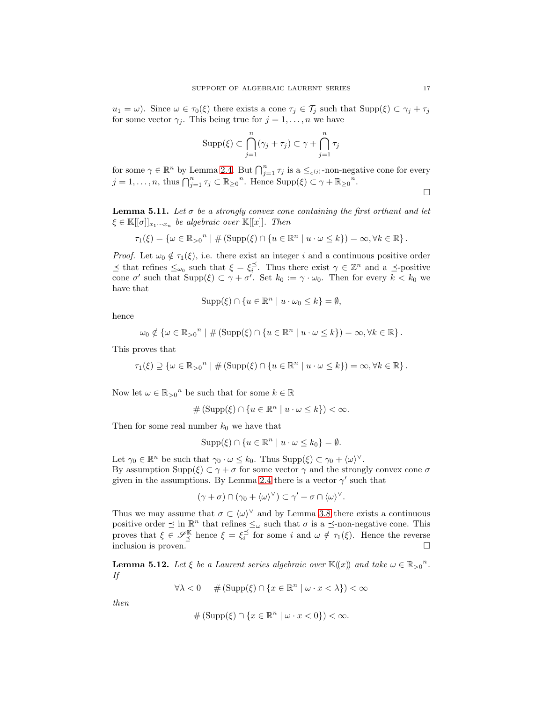$u_1 = \omega$ ). Since  $\omega \in \tau_0(\xi)$  there exists a cone  $\tau_j \in \mathcal{T}_j$  such that  $\text{Supp}(\xi) \subset \gamma_j + \tau_j$ for some vector  $\gamma_j$ . This being true for  $j = 1, \ldots, n$  we have

$$
\mathrm{Supp}(\xi)\subset\bigcap_{j=1}^n(\gamma_j+\tau_j)\subset\gamma+\bigcap_{j=1}^n\tau_j
$$

for some  $\gamma \in \mathbb{R}^n$  by Lemma [2.4.](#page-5-1) But  $\bigcap_{j=1}^n \tau_j$  is a  $\leq_{e^{(j)}}$ -non-negative cone for every  $j = 1, \ldots, n$ , thus  $\bigcap_{j=1}^{n} \tau_j \subset \mathbb{R}_{\geq 0}^n$ . Hence  $\text{Supp}(\xi) \subset \gamma + \mathbb{R}_{\geq 0}^n$ .  $\Box$ 

<span id="page-16-0"></span>**Lemma 5.11.** Let  $\sigma$  be a strongly convex cone containing the first orthant and let  $\xi \in \mathbb{K}[[\sigma]]_{x_1\cdots x_n}$  be algebraic over  $\mathbb{K}[[x]]$ . Then

$$
\tau_1(\xi) = \{ \omega \in \mathbb{R}_{>0}^n \mid \# \left( \text{Supp}(\xi) \cap \{ u \in \mathbb{R}^n \mid u \cdot \omega \leq k \} \right) = \infty, \forall k \in \mathbb{R} \}.
$$

*Proof.* Let  $\omega_0 \notin \tau_1(\xi)$ , i.e. there exist an integer i and a continuous positive order  $\preceq$  that refines  $\leq_{\omega_0}$  such that  $\xi = \xi_i^{\preceq}$ . Thus there exist  $\gamma \in \mathbb{Z}^n$  and a  $\preceq$ -positive cone  $\sigma'$  such that  $\text{Supp}(\xi) \subset \gamma + \sigma'$ . Set  $k_0 := \gamma \cdot \omega_0$ . Then for every  $k < k_0$  we have that

$$
Supp(\xi) \cap \{u \in \mathbb{R}^n \mid u \cdot \omega_0 \le k\} = \emptyset,
$$

hence

$$
\omega_0 \notin \{ \omega \in \mathbb{R}_{>0}^n \mid \#(\text{Supp}(\xi) \cap \{ u \in \mathbb{R}^n \mid u \cdot \omega \leq k \}) = \infty, \forall k \in \mathbb{R} \}.
$$

This proves that

$$
\tau_1(\xi) \supseteq \{ \omega \in \mathbb{R}_{>0}^n \mid \# \left( \text{Supp}(\xi) \cap \{ u \in \mathbb{R}^n \mid u \cdot \omega \leq k \} \right) = \infty, \forall k \in \mathbb{R} \}.
$$

Now let  $\omega \in \mathbb{R}_{>0}^n$  be such that for some  $k \in \mathbb{R}$ 

$$
\# (\mathrm{Supp}(\xi) \cap \{u \in \mathbb{R}^n \mid u \cdot \omega \le k\}) < \infty.
$$

Then for some real number  $k_0$  we have that

$$
Supp(\xi) \cap \{u \in \mathbb{R}^n \mid u \cdot \omega \le k_0\} = \emptyset.
$$

Let  $\gamma_0 \in \mathbb{R}^n$  be such that  $\gamma_0 \cdot \omega \leq k_0$ . Thus  $\text{Supp}(\xi) \subset \gamma_0 + \langle \omega \rangle^{\vee}$ . By assumption  $\text{Supp}(\xi) \subset \gamma + \sigma$  for some vector  $\gamma$  and the strongly convex cone  $\sigma$ given in the assumptions. By Lemma [2.4](#page-5-1) there is a vector  $\gamma'$  such that

$$
(\gamma + \sigma) \cap (\gamma_0 + \langle \omega \rangle^{\vee}) \subset \gamma' + \sigma \cap \langle \omega \rangle^{\vee}.
$$

Thus we may assume that  $\sigma \subset \langle \omega \rangle^{\vee}$  and by Lemma [3.8](#page-7-1) there exists a continuous positive order  $\leq$  in  $\mathbb{R}^n$  that refines  $\leq_{\omega}$  such that  $\sigma$  is a  $\leq$ -non-negative cone. This proves that  $\xi \in \mathscr{S}_{\preceq}^{\mathbb{K}}$  hence  $\xi = \xi_i^{\preceq}$  for some i and  $\omega \notin \tau_1(\xi)$ . Hence the reverse inclusion is proven.  $\Box$ 

<span id="page-16-1"></span>**Lemma 5.12.** Let  $\xi$  be a Laurent series algebraic over  $\mathbb{K}(\!(x)\!)$  and take  $\omega \in \mathbb{R}_{>0}^n$ . If

$$
\forall \lambda < 0 \quad \# \left( \text{Supp}(\xi) \cap \{ x \in \mathbb{R}^n \mid \omega \cdot x < \lambda \} \right) < \infty
$$

then

$$
\# \left( \operatorname{Supp}(\xi) \cap \{ x \in \mathbb{R}^n \mid \omega \cdot x < 0 \} \right) < \infty.
$$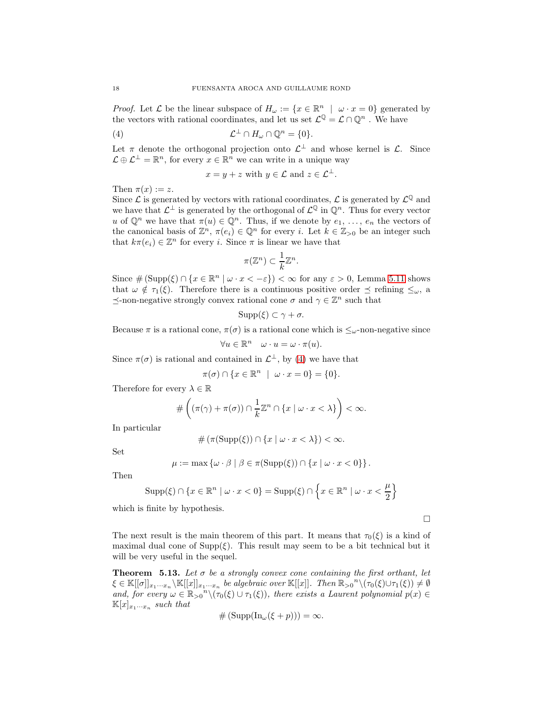*Proof.* Let  $\mathcal L$  be the linear subspace of  $H_\omega := \{x \in \mathbb R^n \mid \omega \cdot x = 0\}$  generated by the vectors with rational coordinates, and let us set  $\mathcal{L}^{\mathbb{Q}} = \mathcal{L} \cap \mathbb{Q}^n$ . We have

(4) 
$$
\mathcal{L}^{\perp} \cap H_{\omega} \cap \mathbb{Q}^{n} = \{0\}.
$$

Let  $\pi$  denote the orthogonal projection onto  $\mathcal{L}^{\perp}$  and whose kernel is  $\mathcal{L}$ . Since  $\mathcal{L} \oplus \mathcal{L}^{\perp} = \mathbb{R}^n$ , for every  $x \in \mathbb{R}^n$  we can write in a unique way

<span id="page-17-1"></span>
$$
x = y + z \text{ with } y \in \mathcal{L} \text{ and } z \in \mathcal{L}^{\perp}.
$$

Then  $\pi(x) := z$ .

Since  $\mathcal L$  is generated by vectors with rational coordinates,  $\mathcal L$  is generated by  $\mathcal L^{\mathbb Q}$  and we have that  $\mathcal{L}^{\perp}$  is generated by the orthogonal of  $\mathcal{L}^{\mathbb{Q}}$  in  $\mathbb{Q}^n$ . Thus for every vector u of  $\mathbb{Q}^n$  we have that  $\pi(u) \in \mathbb{Q}^n$ . Thus, if we denote by  $e_1, \ldots, e_n$  the vectors of the canonical basis of  $\mathbb{Z}^n$ ,  $\pi(e_i) \in \mathbb{Q}^n$  for every i. Let  $k \in \mathbb{Z}_{>0}$  be an integer such that  $k\pi(e_i) \in \mathbb{Z}^n$  for every *i*. Since  $\pi$  is linear we have that

$$
\pi(\mathbb{Z}^n) \subset \frac{1}{k}\mathbb{Z}^n.
$$

Since  $\#(\text{Supp}(\xi) \cap \{x \in \mathbb{R}^n \mid \omega \cdot x < -\varepsilon\}) < \infty$  for any  $\varepsilon > 0$ , Lemma [5.11](#page-16-0) shows that  $\omega \notin \tau_1(\xi)$ . Therefore there is a continuous positive order  $\preceq$  refining  $\leq_{\omega}$ , a  $\preceq$  -non-negative strongly convex rational cone  $\sigma$  and  $\gamma \in \mathbb{Z}^n$  such that

$$
\mathrm{Supp}(\xi)\subset\gamma+\sigma.
$$

Because  $\pi$  is a rational cone,  $\pi(\sigma)$  is a rational cone which is  $\leq_{\omega}$ -non-negative since

$$
\forall u \in \mathbb{R}^n \quad \omega \cdot u = \omega \cdot \pi(u).
$$

Since  $\pi(\sigma)$  is rational and contained in  $\mathcal{L}^{\perp}$ , by [\(4\)](#page-17-1) we have that

$$
\pi(\sigma) \cap \{x \in \mathbb{R}^n \mid \omega \cdot x = 0\} = \{0\}.
$$

Therefore for every  $\lambda \in \mathbb{R}$ 

$$
\#\left((\pi(\gamma)+\pi(\sigma))\cap\frac{1}{k}\mathbb{Z}^n\cap\{x\mid\omega\cdot x<\lambda\}\right)<\infty.
$$

In particular

$$
\# \left( \pi(\mathrm{Supp}(\xi)) \cap \{x \mid \omega \cdot x < \lambda \} \right) < \infty.
$$

Set

$$
\mu := \max \left\{ \omega \cdot \beta \mid \beta \in \pi(\mathrm{Supp}(\xi)) \cap \{x \mid \omega \cdot x < 0\} \right\}.
$$

Then

$$
\mathrm{Supp}(\xi)\cap\left\{x\in\mathbb{R}^n\mid\omega\cdot x<0\right\}=\mathrm{Supp}(\xi)\cap\left\{x\in\mathbb{R}^n\mid\omega\cdot x<\frac{\mu}{2}\right\}
$$

which is finite by hypothesis.

 $\Box$ 

The next result is the main theorem of this part. It means that  $\tau_0(\xi)$  is a kind of maximal dual cone of  $\text{Supp}(\xi)$ . This result may seem to be a bit technical but it will be very useful in the sequel.

<span id="page-17-0"></span>**Theorem 5.13.** Let  $\sigma$  be a strongly convex cone containing the first orthant, let  $\xi \in \mathbb{K}[[\sigma]]_{x_1\cdots x_n} \setminus \mathbb{K}[[x]]_{x_1\cdots x_n}$  be algebraic over  $\mathbb{K}[[x]]$ . Then  $\mathbb{R}_{>0}^n \setminus (\tau_0(\xi) \cup \tau_1(\xi)) \neq \emptyset$ and, for every  $\omega \in \mathbb{R}_{>0}^n \setminus (\tau_0(\xi) \cup \tau_1(\xi))$ , there exists a Laurent polynomial  $p(x) \in$  $\mathbb{K}[x]_{x_1\cdots x_n}$  such that

$$
\#(\mathrm{Supp}(\mathrm{In}_{\omega}(\xi+p)))=\infty.
$$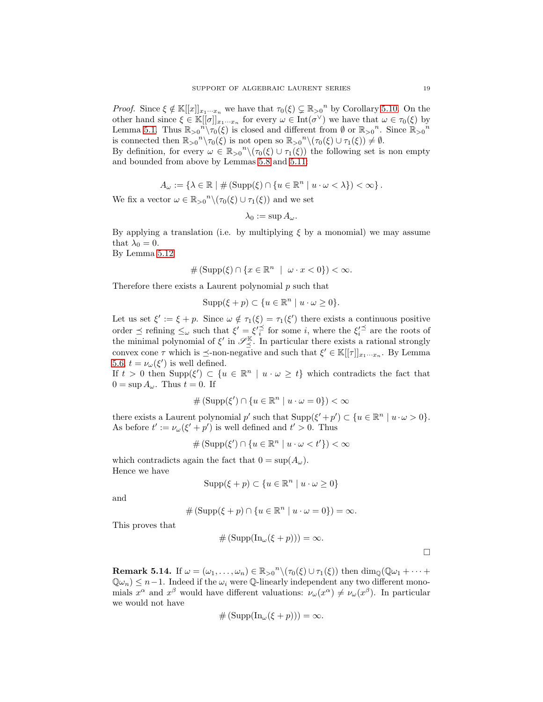*Proof.* Since  $\xi \notin \mathbb{K}[[x]]_{x_1...x_n}$  we have that  $\tau_0(\xi) \subsetneq \mathbb{R}_{\geq 0}^n$  by Corollary [5.10.](#page-15-2) On the other hand since  $\xi \in \mathbb{K}[[\sigma]]_{x_1\cdots x_n}$  for every  $\omega \in \text{Int}(\sigma^{\vee})$  we have that  $\omega \in \tau_0(\xi)$  by Lemma [5.1.](#page-11-1) Thus  $\mathbb{R}_{\geq 0}^n \setminus \tau_0(\xi)$  is closed and different from  $\emptyset$  or  $\mathbb{R}_{\geq 0}^n$ . Since  $\mathbb{R}_{\geq 0}^n$ is connected then  $\mathbb{R}_{>0}^n \setminus \tau_0(\xi)$  is not open so  $\mathbb{R}_{>0}^n \setminus (\tau_0(\xi) \cup \tau_1(\xi)) \neq \emptyset$ .

By definition, for every  $\omega \in \mathbb{R}_{>0}^n \setminus (\tau_0(\xi) \cup \tau_1(\xi))$  the following set is non empty and bounded from above by Lemmas [5.8](#page-15-0) and [5.11:](#page-16-0)

$$
A_{\omega} := \{ \lambda \in \mathbb{R} \mid \# \left( \operatorname{Supp}(\xi) \cap \{ u \in \mathbb{R}^n \mid u \cdot \omega < \lambda \} \right) < \infty \}.
$$

We fix a vector  $\omega \in \mathbb{R}_{>0}^n \setminus (\tau_0(\xi) \cup \tau_1(\xi))$  and we set

$$
\lambda_0:=\sup A_\omega.
$$

By applying a translation (i.e. by multiplying  $\xi$  by a monomial) we may assume that  $\lambda_0 = 0$ .

By Lemma [5.12](#page-16-1)

$$
\#(\mathrm{Supp}(\xi)\cap\{x\in\mathbb{R}^n\mid\omega\cdot x<0\})<\infty.
$$

Therefore there exists a Laurent polynomial  $p$  such that

$$
Supp(\xi + p) \subset \{u \in \mathbb{R}^n \mid u \cdot \omega \ge 0\}.
$$

Let us set  $\xi' := \xi + p$ . Since  $\omega \notin \tau_1(\xi) = \tau_1(\xi')$  there exists a continuous positive order  $\preceq$  refining  $\leq_{\omega}$  such that  $\xi' = \xi'^{\preceq}$  for some *i*, where the  $\xi'^{\preceq}$  are the roots of the minimal polynomial of  $\xi'$  in  $\mathscr{S}_{\preceq}^{\mathbb{K}}$ . In particular there exists a rational strongly convex cone  $\tau$  which is  $\preceq$ -non-negative and such that  $\xi' \in \mathbb{K}[[\tau]]_{x_1 \cdots x_n}$ . By Lemma [5.6,](#page-14-0)  $t = \nu_{\omega}(\xi')$  is well defined.

If  $t > 0$  then  $\text{Supp}(\xi') \subset \{u \in \mathbb{R}^n \mid u \cdot \omega \geq t\}$  which contradicts the fact that  $0 = \sup A_{\omega}$ . Thus  $t = 0$ . If

$$
\#\left(\text{Supp}(\xi')\cap\{u\in\mathbb{R}^n\mid u\cdot\omega=0\}\right)<\infty
$$

there exists a Laurent polynomial p' such that  $\text{Supp}(\xi'+p') \subset \{u \in \mathbb{R}^n \mid u \cdot \omega > 0\}.$ As before  $t' := \nu_\omega(\xi' + p')$  is well defined and  $t' > 0$ . Thus

$$
\#(\mathrm{Supp}(\xi') \cap \{u \in \mathbb{R}^n \mid u \cdot \omega < t'\}) < \infty
$$

which contradicts again the fact that  $0 = \sup(A_\omega)$ . Hence we have

$$
\mathrm{Supp}(\xi+p)\subset\{u\in\mathbb{R}^n\mid u\cdot\omega\geq 0\}
$$

and

$$
#(\mathrm{Supp}(\xi+p)\cap\{u\in\mathbb{R}^n\mid u\cdot\omega=0\})=\infty.
$$

This proves that

$$
\#(\mathrm{Supp}(\mathrm{In}_{\omega}(\xi+p)))=\infty.
$$

 $\Box$ 

<span id="page-18-0"></span>**Remark 5.14.** If  $\omega = (\omega_1, \dots, \omega_n) \in \mathbb{R}_{>0}^n \setminus (\tau_0(\xi) \cup \tau_1(\xi))$  then  $\dim_{\mathbb{Q}}(\mathbb{Q}\omega_1 + \dots + \mathbb{Q}\omega_n)$  $\mathbb{Q} \omega_n \leq n-1$ . Indeed if the  $\omega_i$  were  $\mathbb{Q}$ -linearly independent any two different monomials  $x^{\alpha}$  and  $x^{\beta}$  would have different valuations:  $\nu_{\omega}(x^{\alpha}) \neq \nu_{\omega}(x^{\beta})$ . In particular we would not have

$$
\#(\mathrm{Supp}(\mathrm{In}_{\omega}(\xi+p)))=\infty.
$$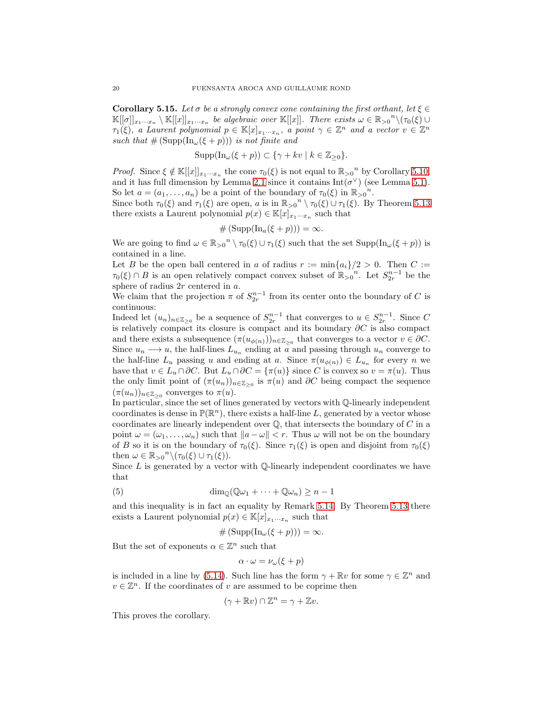<span id="page-19-0"></span>**Corollary 5.15.** Let  $\sigma$  be a strongly convex cone containing the first orthant, let  $\xi \in$  $\mathbb{K}[[\sigma]]_{x_1\cdots x_n} \setminus \mathbb{K}[[x]]_{x_1\cdots x_n}$  be algebraic over  $\mathbb{K}[[x]]$ . There exists  $\omega \in \mathbb{R}_{>0}^n \setminus (\tau_0(\xi) \cup$  $\tau_1(\xi)$ , a Laurent polynomial  $p \in \mathbb{K}[x]_{x_1 \cdots x_n}$ , a point  $\gamma \in \mathbb{Z}^n$  and a vector  $v \in \mathbb{Z}^n$ such that  $\#(\mathrm{Supp}(\mathrm{In}_{\omega}(\xi+p)))$  is not finite and

$$
Supp(\text{In}_{\omega}(\xi+p)) \subset \{\gamma+kv \mid k \in \mathbb{Z}_{\geq 0}\}.
$$

*Proof.* Since  $\xi \notin \mathbb{K}[[x]]_{x_1\cdots x_n}$  the cone  $\tau_0(\xi)$  is not equal to  $\mathbb{R}_{>0}^n$  by Corollary [5.10,](#page-15-2) and it has full dimension by Lemma [2.1](#page-4-2) since it contains  $Int(\sigma^{\vee})$  (see Lemma [5.1\)](#page-11-1). So let  $a = (a_1, \ldots, a_n)$  be a point of the boundary of  $\tau_0(\xi)$  in  $\mathbb{R}_{>0}^n$ .

Since both  $\tau_0(\xi)$  and  $\tau_1(\xi)$  are open, a is in  $\mathbb{R}_{>0}^n \setminus \tau_0(\xi) \cup \tau_1(\xi)$ . By Theorem [5.13](#page-17-0) there exists a Laurent polynomial  $p(x) \in \mathbb{K}[x]_{x_1 \cdots x_n}$  such that

$$
\#(\mathrm{Supp}(\mathrm{In}_{a}(\xi+p)))=\infty.
$$

We are going to find  $\omega \in \mathbb{R}_{>0}^n \setminus \tau_0(\xi) \cup \tau_1(\xi)$  such that the set  $\text{Supp}(\text{In}_{\omega}(\xi + p))$  is contained in a line.

Let B be the open ball centered in a of radius  $r := \min\{a_i\}/2 > 0$ . Then  $C :=$  $\tau_0(\xi) \cap B$  is an open relatively compact convex subset of  $\mathbb{R}_{>0}^n$ . Let  $S_{2r}^{n-1}$  be the sphere of radius 2r centered in a.

We claim that the projection  $\pi$  of  $S_{2r}^{n-1}$  from its center onto the boundary of C is continuous:

Indeed let  $(u_n)_{n \in \mathbb{Z}_{\geq 0}}$  be a sequence of  $S_{2r}^{n-1}$  that converges to  $u \in S_{2r}^{n-1}$ . Since C is relatively compact its closure is compact and its boundary  $\partial C$  is also compact and there exists a subsequence  $(\pi(u_{\phi(n)}))_{n \in \mathbb{Z}_{\geq 0}}$  that converges to a vector  $v \in \partial C$ . Since  $u_n \longrightarrow u$ , the half-lines  $L_{u_n}$  ending at a and passing through  $u_n$  converge to the half-line  $L_u$  passing u and ending at a. Since  $\pi(u_{\phi(n)}) \in L_{u_n}$  for every n we have that  $v \in L_u \cap \partial C$ . But  $L_u \cap \partial C = {\pi(u)}$  since C is convex so  $v = \pi(u)$ . Thus the only limit point of  $(\pi(u_n))_{n \in \mathbb{Z}_{\geq 0}}$  is  $\pi(u)$  and  $\partial C$  being compact the sequence  $(\pi(u_n))_{n \in \mathbb{Z}_{\geq 0}}$  converges to  $\pi(u)$ .

In particular, since the set of lines generated by vectors with Q-linearly independent coordinates is dense in  $\mathbb{P}(\mathbb{R}^n)$ , there exists a half-line L, generated by a vector whose coordinates are linearly independent over  $\mathbb{Q}$ , that intersects the boundary of  $C$  in a point  $\omega = (\omega_1, \ldots, \omega_n)$  such that  $||a - \omega|| < r$ . Thus  $\omega$  will not be on the boundary of B so it is on the boundary of  $\tau_0(\xi)$ . Since  $\tau_1(\xi)$  is open and disjoint from  $\tau_0(\xi)$ then  $\omega \in \mathbb{R}_{>0}^n \setminus (\tau_0(\xi) \cup \tau_1(\xi)).$ 

Since  $L$  is generated by a vector with  $\mathbb Q$ -linearly independent coordinates we have that

(5) 
$$
\dim_{\mathbb{Q}}(\mathbb{Q}\omega_1 + \cdots + \mathbb{Q}\omega_n) \geq n-1
$$

and this inequality is in fact an equality by Remark [5.14.](#page-18-0) By Theorem [5.13](#page-17-0) there exists a Laurent polynomial  $p(x) \in \mathbb{K}[x]_{x_1 \cdots x_n}$  such that

<span id="page-19-1"></span>
$$
\#(\mathrm{Supp}(\mathrm{In}_{\omega}(\xi+p)))=\infty.
$$

But the set of exponents  $\alpha \in \mathbb{Z}^n$  such that

$$
\alpha \cdot \omega = \nu_{\omega}(\xi + p)
$$

is included in a line by [\(5.14\)](#page-18-0). Such line has the form  $\gamma + \mathbb{R}v$  for some  $\gamma \in \mathbb{Z}^n$  and  $v \in \mathbb{Z}^n$ . If the coordinates of v are assumed to be coprime then

$$
(\gamma + \mathbb{R}v) \cap \mathbb{Z}^n = \gamma + \mathbb{Z}v.
$$

This proves the corollary.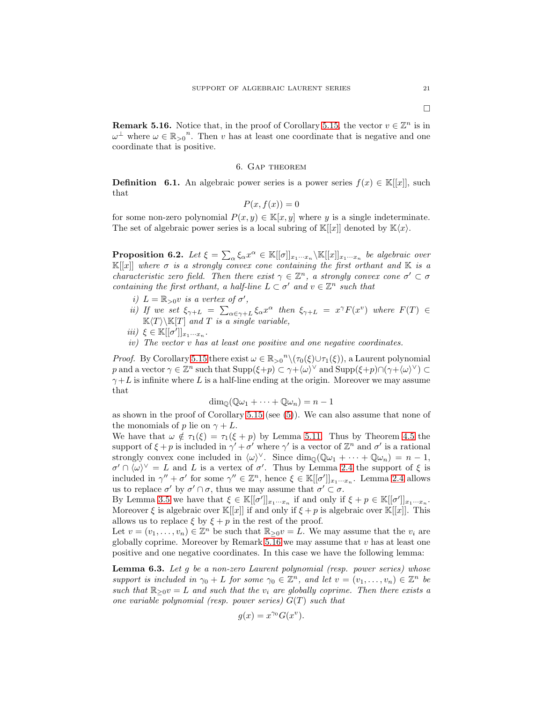<span id="page-20-1"></span>**Remark 5.16.** Notice that, in the proof of Corollary [5.15,](#page-19-0) the vector  $v \in \mathbb{Z}^n$  is in  $\omega^{\perp}$  where  $\omega \in \mathbb{R}_{>0}^n$ . Then v has at least one coordinate that is negative and one coordinate that is positive.

### 6. Gap theorem

<span id="page-20-0"></span>**Definition** 6.1. An algebraic power series is a power series  $f(x) \in K[[x]]$ , such that

$$
P(x, f(x)) = 0
$$

for some non-zero polynomial  $P(x, y) \in \mathbb{K}[x, y]$  where y is a single indeterminate. The set of algebraic power series is a local subring of  $\mathbb{K}[[x]]$  denoted by  $\mathbb{K}\langle x\rangle$ .

<span id="page-20-3"></span>**Proposition 6.2.** Let  $\xi = \sum_{\alpha} \xi_{\alpha} x^{\alpha} \in \mathbb{K}[[\sigma]]_{x_1 \cdots x_n} \backslash \mathbb{K}[[x]]_{x_1 \cdots x_n}$  be algebraic over  $\mathbb{K}[[x]]$  where  $\sigma$  is a strongly convex cone containing the first orthant and K is a characteristic zero field. Then there exist  $\gamma \in \mathbb{Z}^n$ , a strongly convex cone  $\sigma' \subset \sigma$ containing the first orthant, a half-line  $L \subset \sigma'$  and  $v \in \mathbb{Z}^n$  such that

- i)  $L = \mathbb{R}_{>0}v$  is a vertex of  $\sigma'$ ,
- *ii*) If we set  $\xi_{\gamma+L} = \sum_{\alpha \in \gamma+L} \xi_{\alpha} x^{\alpha}$  then  $\xi_{\gamma+L} = x^{\gamma} F(x^{\nu})$  where  $F(T) \in$  $\mathbb{K}\langle T\rangle\backslash\mathbb{K}[T]$  and T is a single variable,
- iii)  $\xi \in \mathbb{K}[[\sigma']]_{x_1\cdots x_n}.$
- iv) The vector v has at least one positive and one negative coordinates.

*Proof.* By Corollary [5.15](#page-19-0) there exist  $\omega \in \mathbb{R}_{>0}^n \setminus (\tau_0(\xi) \cup \tau_1(\xi))$ , a Laurent polynomial p and a vector  $\gamma \in \mathbb{Z}^n$  such that  $\text{Supp}(\xi+p) \subset \gamma + \langle \omega \rangle^{\vee}$  and  $\text{Supp}(\xi+p) \cap (\gamma + \langle \omega \rangle^{\vee}) \subset$  $\gamma + L$  is infinite where L is a half-line ending at the origin. Moreover we may assume that

 $\dim_{\mathbb{Q}}(\mathbb{Q}\omega_1 + \cdots + \mathbb{Q}\omega_n) = n - 1$ 

as shown in the proof of Corollary [5.15](#page-19-0) (see [\(5\)](#page-19-1)). We can also assume that none of the monomials of p lie on  $\gamma + L$ .

We have that  $\omega \notin \tau_1(\xi) = \tau_1(\xi + p)$  by Lemma [5.11.](#page-16-0) Thus by Theorem [4.5](#page-10-0) the support of  $\xi + p$  is included in  $\gamma' + \sigma'$  where  $\gamma'$  is a vector of  $\mathbb{Z}^n$  and  $\sigma'$  is a rational strongly convex cone included in  $\langle \omega \rangle^{\vee}$ . Since  $\dim_{\mathbb{Q}}(\mathbb{Q}\omega_1 + \cdots + \mathbb{Q}\omega_n) = n - 1$ ,  $\sigma' \cap \langle \omega \rangle^{\vee} = L$  and L is a vertex of  $\sigma'$ . Thus by Lemma [2.4](#page-5-1) the support of  $\xi$  is included in  $\gamma'' + \sigma'$  for some  $\gamma'' \in \mathbb{Z}^n$ , hence  $\xi \in \mathbb{K}[[\sigma']]_{x_1 \cdots x_n}$ . Lemma [2.4](#page-5-1) allows us to replace  $\sigma'$  by  $\sigma' \cap \sigma$ , thus we may assume that  $\sigma' \subset \sigma$ .

By Lemma [3.5](#page-6-5) we have that  $\xi \in \mathbb{K}[[\sigma']]_{x_1\cdots x_n}$  if and only if  $\xi + p \in \mathbb{K}[[\sigma']]_{x_1\cdots x_n}$ . Moreover  $\xi$  is algebraic over  $\mathbb{K}[[x]]$  if and only if  $\xi + p$  is algebraic over  $\mathbb{K}[[x]]$ . This allows us to replace  $\xi$  by  $\xi + p$  in the rest of the proof.

Let  $v = (v_1, \ldots, v_n) \in \mathbb{Z}^n$  be such that  $\mathbb{R}_{\geq 0}v = L$ . We may assume that the  $v_i$  are globally coprime. Moreover by Remark  $5.16$  we may assume that v has at least one positive and one negative coordinates. In this case we have the following lemma:

<span id="page-20-2"></span>**Lemma 6.3.** Let  $g$  be a non-zero Laurent polynomial (resp. power series) whose support is included in  $\gamma_0 + L$  for some  $\gamma_0 \in \mathbb{Z}^n$ , and let  $v = (v_1, \ldots, v_n) \in \mathbb{Z}^n$  be such that  $\mathbb{R}_{\geq 0}v = L$  and such that the  $v_i$  are globally coprime. Then there exists a one variable polynomial (resp. power series)  $G(T)$  such that

$$
g(x) = x^{\gamma_0} G(x^v).
$$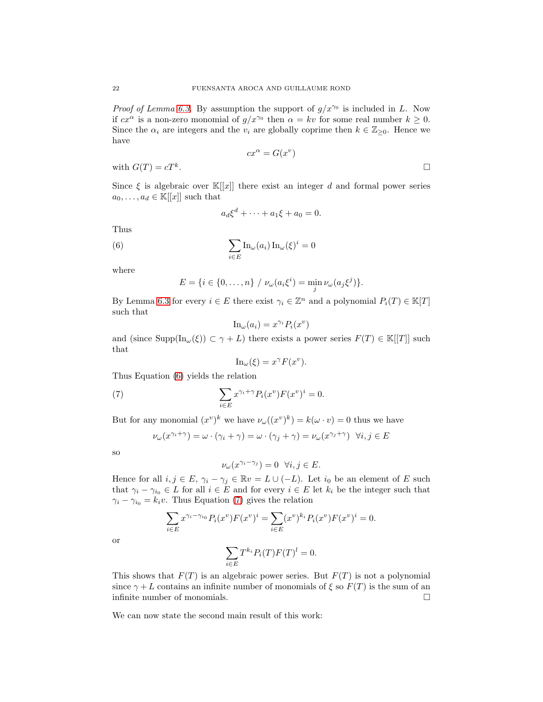*Proof of Lemma [6.3.](#page-20-2)* By assumption the support of  $g/x^{\gamma_0}$  is included in L. Now if  $cx^{\alpha}$  is a non-zero monomial of  $g/x^{\gamma_0}$  then  $\alpha = kv$  for some real number  $k \geq 0$ . Since the  $\alpha_i$  are integers and the  $v_i$  are globally coprime then  $k \in \mathbb{Z}_{\geq 0}$ . Hence we have

$$
cx^{\alpha} = G(x^{v})
$$
 with  $G(T) = cT^{k}$ .

Since  $\xi$  is algebraic over  $\mathbb{K}[[x]]$  there exist an integer d and formal power series  $a_0, \ldots, a_d \in \mathbb{K}[[x]]$  such that

<span id="page-21-0"></span>
$$
a_d \xi^d + \dots + a_1 \xi + a_0 = 0.
$$

Thus

(6) 
$$
\sum_{i \in E} \ln_{\omega}(a_i) \ln_{\omega}(\xi)^i = 0
$$

where

$$
E = \{ i \in \{0, ..., n\} / \nu_{\omega}(a_i \xi^i) = \min_j \nu_{\omega}(a_j \xi^j) \}.
$$

By Lemma [6.3](#page-20-2) for every  $i \in E$  there exist  $\gamma_i \in \mathbb{Z}^n$  and a polynomial  $P_i(T) \in \mathbb{K}[T]$ such that

$$
\mathrm{In}_{\omega}(a_i) = x^{\gamma_i} P_i(x^v)
$$

and (since  $\text{Supp}(\text{In}_{\omega}(\xi)) \subset \gamma + L$ ) there exists a power series  $F(T) \in \mathbb{K}[[T]]$  such that

<span id="page-21-1"></span>
$$
\mathrm{In}_{\omega}(\xi) = x^{\gamma} F(x^{\nu}).
$$

Thus Equation [\(6\)](#page-21-0) yields the relation

(7) 
$$
\sum_{i \in E} x^{\gamma_i + \gamma} P_i(x^v) F(x^v)^i = 0.
$$

But for any monomial  $(x^v)^k$  we have  $\nu_\omega((x^v)^k) = k(\omega \cdot v) = 0$  thus we have

$$
\nu_{\omega}(x^{\gamma_i + \gamma}) = \omega \cdot (\gamma_i + \gamma) = \omega \cdot (\gamma_j + \gamma) = \nu_{\omega}(x^{\gamma_j + \gamma}) \quad \forall i, j \in E
$$

so

or

$$
\nu_{\omega}(x^{\gamma_i - \gamma_j}) = 0 \quad \forall i, j \in E.
$$

Hence for all  $i, j \in E$ ,  $\gamma_i - \gamma_j \in \mathbb{R}v = L \cup (-L)$ . Let  $i_0$  be an element of E such that  $\gamma_i - \gamma_{i_0} \in L$  for all  $i \in E$  and for every  $i \in E$  let  $k_i$  be the integer such that  $\gamma_i - \gamma_{i_0} = k_i v$ . Thus Equation [\(7\)](#page-21-1) gives the relation

$$
\sum_{i \in E} x^{\gamma_i - \gamma_{i_0}} P_i(x^v) F(x^v)^i = \sum_{i \in E} (x^v)^{k_i} P_i(x^v) F(x^v)^i = 0.
$$
  

$$
\sum_{i \in E} T^{k_i} P_i(T) F(T)^l = 0.
$$

This shows that  $F(T)$  is an algebraic power series. But  $F(T)$  is not a polynomial since  $\gamma + L$  contains an infinite number of monomials of  $\xi$  so  $F(T)$  is the sum of an infinite number of monomials.  $\Box$ 

We can now state the second main result of this work: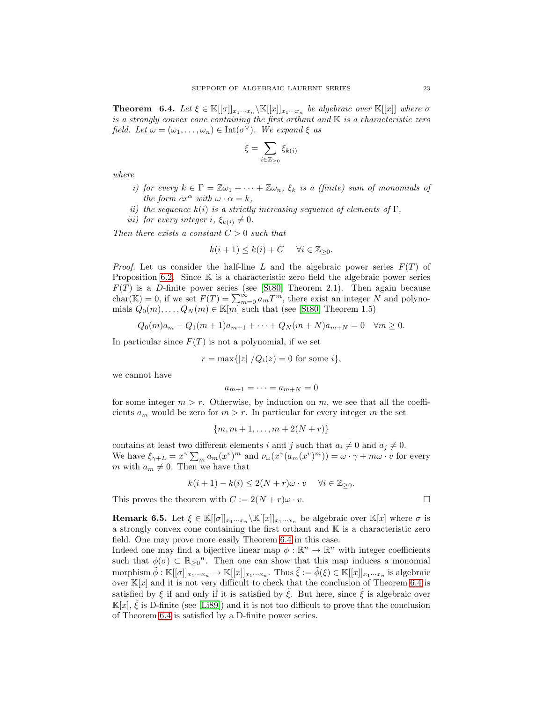<span id="page-22-0"></span>**Theorem 6.4.** Let  $\xi \in \mathbb{K}[[\sigma]]_{x_1 \cdots x_n} \backslash \mathbb{K}[[x]]_{x_1 \cdots x_n}$  be algebraic over  $\mathbb{K}[[x]]$  where  $\sigma$ is a strongly convex cone containing the first orthant and  $K$  is a characteristic zero field. Let  $\omega = (\omega_1, \dots, \omega_n) \in \text{Int}(\sigma^{\vee})$ . We expand  $\xi$  as

$$
\xi = \sum_{i \in \mathbb{Z}_{\geq 0}} \xi_{k(i)}
$$

where

- i) for every  $k \in \Gamma = \mathbb{Z}\omega_1 + \cdots + \mathbb{Z}\omega_n$ ,  $\xi_k$  is a (finite) sum of monomials of the form  $cx^{\alpha}$  with  $\omega \cdot \alpha = k$ ,
- ii) the sequence  $k(i)$  is a strictly increasing sequence of elements of  $\Gamma$ ,
- iii) for every integer i,  $\xi_{k(i)} \neq 0$ .

Then there exists a constant  $C > 0$  such that

$$
k(i+1) \le k(i) + C \quad \forall i \in \mathbb{Z}_{\geq 0}.
$$

*Proof.* Let us consider the half-line L and the algebraic power series  $F(T)$  of Proposition [6.2.](#page-20-3) Since  $K$  is a characteristic zero field the algebraic power series  $F(T)$  is a D-finite power series (see [\[St80\]](#page-30-3) Theorem 2.1). Then again because char( $\mathbb{K}$ ) = 0, if we set  $F(T) = \sum_{m=0}^{\infty} a_m T^m$ , there exist an integer N and polynomials  $Q_0(m), \ldots, Q_N(m) \in \mathbb{K}[m]$  such that (see [\[St80\]](#page-30-3) Theorem 1.5)

$$
Q_0(m)a_m + Q_1(m+1)a_{m+1} + \dots + Q_N(m+N)a_{m+N} = 0 \quad \forall m \ge 0.
$$

In particular since  $F(T)$  is not a polynomial, if we set

$$
r = \max\{|z| / Q_i(z) = 0 \text{ for some } i\},\
$$

we cannot have

$$
a_{m+1}=\cdots=a_{m+N}=0
$$

for some integer  $m > r$ . Otherwise, by induction on m, we see that all the coefficients  $a_m$  would be zero for  $m > r$ . In particular for every integer m the set

$$
\{m, m+1, \ldots, m+2(N+r)\}\
$$

contains at least two different elements i and j such that  $a_i \neq 0$  and  $a_j \neq 0$ . We have  $\xi_{\gamma+L} = x^{\gamma} \sum_m a_m(x^v)^m$  and  $\nu_\omega(x^{\gamma}(a_m(x^v)^m)) = \omega \cdot \gamma + m\omega \cdot v$  for every m with  $a_m \neq 0$ . Then we have that

$$
k(i+1) - k(i) \le 2(N+r)\omega \cdot v \quad \forall i \in \mathbb{Z}_{\geq 0}.
$$

This proves the theorem with  $C := 2(N + r)\omega \cdot v$ .

**Remark 6.5.** Let  $\xi \in \mathbb{K}[[\sigma]]_{x_1\cdots x_n} \backslash \mathbb{K}[[x]]_{x_1\cdots x_n}$  be algebraic over  $\mathbb{K}[x]$  where  $\sigma$  is a strongly convex cone containing the first orthant and  $K$  is a characteristic zero field. One may prove more easily Theorem [6.4](#page-22-0) in this case.

Indeed one may find a bijective linear map  $\phi : \mathbb{R}^n \to \mathbb{R}^n$  with integer coefficients such that  $\phi(\sigma) \subset \mathbb{R}_{\geq 0}^n$ . Then one can show that this map induces a monomial morphism  $\tilde{\phi}: \mathbb{K}[[\sigma]]_{x_1\cdots x_n} \to \mathbb{K}[[x]]_{x_1\cdots x_n}$ . Thus  $\tilde{\xi} := \tilde{\phi}(\xi) \in \mathbb{K}[[x]]_{x_1\cdots x_n}$  is algebraic over  $\mathbb{K}[x]$  and it is not very difficult to check that the conclusion of Theorem [6.4](#page-22-0) is satisfied by  $\xi$  if and only if it is satisfied by  $\tilde{\xi}$ . But here, since  $\tilde{\xi}$  is algebraic over  $\mathbb{K}[x], \xi$  is D-finite (see [\[Li89\]](#page-29-17)) and it is not too difficult to prove that the conclusion of Theorem [6.4](#page-22-0) is satisfied by a D-finite power series.

$$
\sqcup
$$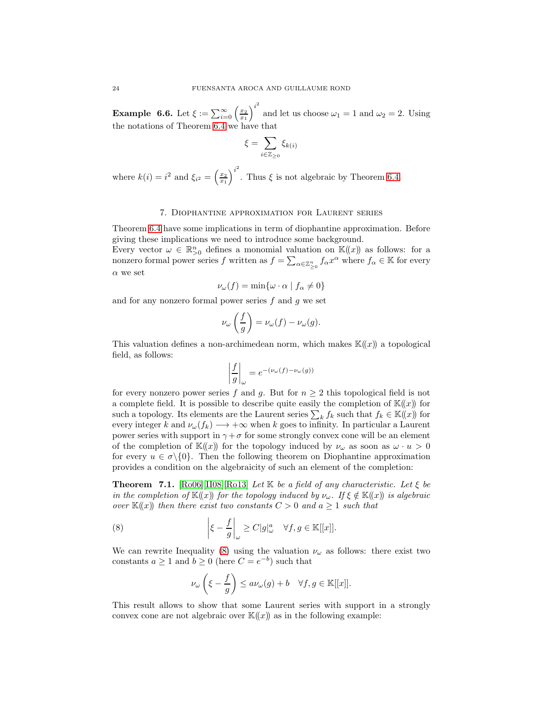**Example 6.6.** Let  $\xi := \sum_{i=0}^{\infty} \left(\frac{x_2}{x_1}\right)^{i^2}$ and let us choose  $\omega_1 = 1$  and  $\omega_2 = 2$ . Using the notations of Theorem [6.4](#page-22-0) we have that

$$
\xi = \sum_{i \in \mathbb{Z}_{\geq 0}} \xi_{k(i)}
$$

where  $k(i) = i^2$  and  $\xi_{i^2} = \left(\frac{x_2}{x_1}\right)^{i^2}$ . Thus  $\xi$  is not algebraic by Theorem [6.4.](#page-22-0)

### 7. Diophantine approximation for Laurent series

<span id="page-23-0"></span>Theorem [6.4](#page-22-0) have some implications in term of diophantine approximation. Before giving these implications we need to introduce some background.

Every vector  $\omega \in \mathbb{R}_{>0}^n$  defines a monomial valuation on  $\mathbb{K}(\!(x)\!)$  as follows: for a nonzero formal power series  $f$  written as  $f = \sum_{\alpha \in \mathbb{Z}_{\geq 0}^n} f_\alpha x^\alpha$  where  $f_\alpha \in \mathbb{K}$  for every  $\alpha$  we set

$$
\nu_{\omega}(f) = \min\{\omega \cdot \alpha \mid f_{\alpha} \neq 0\}
$$

and for any nonzero formal power series  $f$  and  $g$  we set

$$
\nu_{\omega}\left(\frac{f}{g}\right) = \nu_{\omega}(f) - \nu_{\omega}(g).
$$

This valuation defines a non-archimedean norm, which makes  $\mathbb{K}(x)$  a topological field, as follows:

$$
\left|\frac{f}{g}\right|_{\omega} = e^{-(\nu_{\omega}(f) - \nu_{\omega}(g))}
$$

for every nonzero power series f and g. But for  $n \geq 2$  this topological field is not a complete field. It is possible to describe quite easily the completion of  $K(x)$  for such a topology. Its elements are the Laurent series  $\sum_k f_k$  such that  $f_k \in \mathbb{K}(\!(x)\!)$  for every integer k and  $\nu_{\omega}(f_k) \longrightarrow +\infty$  when k goes to infinity. In particular a Laurent power series with support in  $\gamma + \sigma$  for some strongly convex cone will be an element of the completion of  $\mathbb{K}(\!(x)\!)$  for the topology induced by  $\nu_\omega$  as soon as  $\omega \cdot u > 0$ for every  $u \in \sigma \setminus \{0\}$ . Then the following theorem on Diophantine approximation provides a condition on the algebraicity of such an element of the completion:

<span id="page-23-2"></span>**Theorem 7.1.** [\[Ro06\]](#page-30-4)[\[II08\]](#page-29-18)[\[Ro13\]](#page-30-5) Let K be a field of any characteristic. Let  $\xi$  be in the completion of  $\mathbb{K}(\!(x)\!)$  for the topology induced by  $\nu_\omega$ . If  $\xi \notin \mathbb{K}(\!(x)\!)$  is algebraic over  $\mathbb{K}(\!(x)\!)$  then there exist two constants  $C > 0$  and  $a \geq 1$  such that

(8) 
$$
\left|\xi - \frac{f}{g}\right|_{\omega} \ge C|g|_{\omega}^{a} \quad \forall f, g \in \mathbb{K}[[x]].
$$

We can rewrite Inequality [\(8\)](#page-23-1) using the valuation  $\nu_{\omega}$  as follows: there exist two constants  $a \ge 1$  and  $b \ge 0$  (here  $C = e^{-b}$ ) such that

<span id="page-23-1"></span>
$$
\nu_{\omega}\left(\xi - \frac{f}{g}\right) \le a\nu_{\omega}(g) + b \quad \forall f, g \in \mathbb{K}[[x]].
$$

This result allows to show that some Laurent series with support in a strongly convex cone are not algebraic over  $\mathbb{K}(\!(x)\!)$  as in the following example: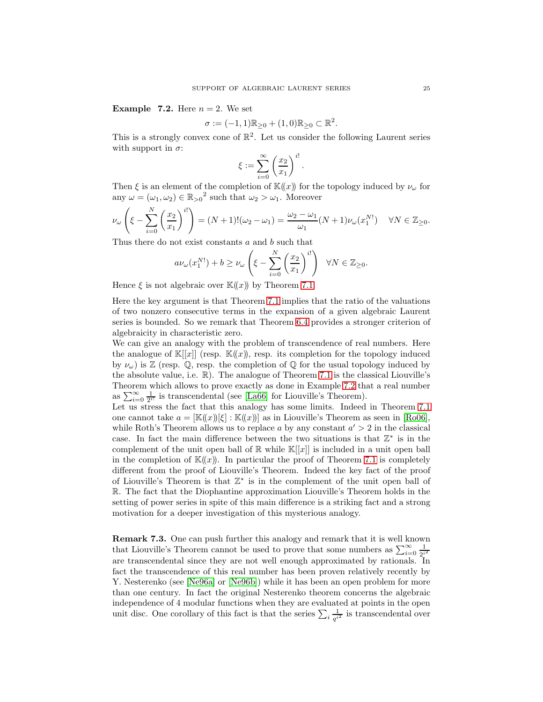<span id="page-24-0"></span>**Example 7.2.** Here  $n = 2$ . We set

$$
\sigma := (-1,1)\mathbb{R}_{\geq 0} + (1,0)\mathbb{R}_{\geq 0} \subset \mathbb{R}^2.
$$

This is a strongly convex cone of  $\mathbb{R}^2$ . Let us consider the following Laurent series with support in  $\sigma$ :

$$
\xi := \sum_{i=0}^{\infty} \left(\frac{x_2}{x_1}\right)^{i!}.
$$

Then  $\xi$  is an element of the completion of  $\mathbb{K}(\!(x)\!)$  for the topology induced by  $\nu_\omega$  for any  $\omega = (\omega_1, \omega_2) \in \mathbb{R}_{>0}^2$  such that  $\omega_2 > \omega_1$ . Moreover

$$
\nu_{\omega}\left(\xi-\sum_{i=0}^N\left(\frac{x_2}{x_1}\right)^{i!}\right)=(N+1)!(\omega_2-\omega_1)=\frac{\omega_2-\omega_1}{\omega_1}(N+1)\nu_{\omega}(x_1^{N!})\quad\forall N\in\mathbb{Z}_{\geq 0}.
$$

Thus there do not exist constants a and b such that

$$
a\nu_{\omega}(x_1^{N!}) + b \ge \nu_{\omega}\left(\xi - \sum_{i=0}^N \left(\frac{x_2}{x_1}\right)^{i!}\right) \quad \forall N \in \mathbb{Z}_{\ge 0}.
$$

Hence  $\xi$  is not algebraic over  $\mathbb{K}(\!(x)\!)$  by Theorem [7.1.](#page-23-2)

Here the key argument is that Theorem [7.1](#page-23-2) implies that the ratio of the valuations of two nonzero consecutive terms in the expansion of a given algebraic Laurent series is bounded. So we remark that Theorem [6.4](#page-22-0) provides a stronger criterion of algebraicity in characteristic zero.

We can give an analogy with the problem of transcendence of real numbers. Here the analogue of  $\mathbb{K}[[x]]$  (resp.  $\mathbb{K}((x))$ , resp. its completion for the topology induced by  $\nu_{\omega}$ ) is  $\mathbb{Z}$  (resp.  $\mathbb{Q}$ , resp. the completion of  $\mathbb{Q}$  for the usual topology induced by the absolute value, i.e. R). The analogue of Theorem [7.1](#page-23-2) is the classical Liouville's Theorem which allows to prove exactly as done in Example [7.2](#page-24-0) that a real number as  $\sum_{i=0}^{\infty} \frac{1}{2^{i!}}$  is transcendental (see [\[La66\]](#page-29-19) for Liouville's Theorem). Let us stress the fact that this analogy has some limits. Indeed in Theorem [7.1](#page-23-2) one cannot take  $a = [\mathbb{K}(x)][\xi] : \mathbb{K}(x)]$  as in Liouville's Theorem as seen in [\[Ro06\]](#page-30-4), while Roth's Theorem allows us to replace a by any constant  $a' > 2$  in the classical case. In fact the main difference between the two situations is that  $\mathbb{Z}^*$  is in the complement of the unit open ball of  $\mathbb R$  while  $\mathbb K[[x]]$  is included in a unit open ball

in the completion of  $\mathbb{K}(x)$ . In particular the proof of Theorem [7.1](#page-23-2) is completely different from the proof of Liouville's Theorem. Indeed the key fact of the proof of Liouville's Theorem is that  $\mathbb{Z}^*$  is in the complement of the unit open ball of R. The fact that the Diophantine approximation Liouville's Theorem holds in the setting of power series in spite of this main difference is a striking fact and a strong motivation for a deeper investigation of this mysterious analogy.

Remark 7.3. One can push further this analogy and remark that it is well known that Liouville's Theorem cannot be used to prove that some numbers as  $\sum_{i=0}^{\infty} \frac{1}{2^i}$  $2^{i^2}$ are transcendental since they are not well enough approximated by rationals. In fact the transcendence of this real number has been proven relatively recently by Y. Nesterenko (see [\[Ne96a\]](#page-29-20) or [\[Ne96b\]](#page-29-21)) while it has been an open problem for more than one century. In fact the original Nesterenko theorem concerns the algebraic independence of 4 modular functions when they are evaluated at points in the open unit disc. One corollary of this fact is that the series  $\sum_i \frac{1}{q^{i'}}$  $\frac{1}{q^{i^2}}$  is transcendental over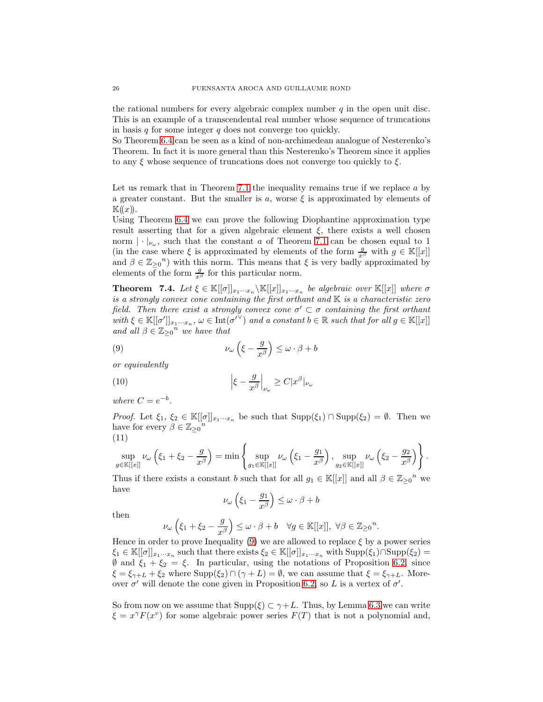the rational numbers for every algebraic complex number  $q$  in the open unit disc. This is an example of a transcendental real number whose sequence of truncations in basis  $q$  for some integer  $q$  does not converge too quickly.

So Theorem [6.4](#page-22-0) can be seen as a kind of non-archimedean analogue of Nesterenko's Theorem. In fact it is more general than this Nesterenko's Theorem since it applies to any  $\xi$  whose sequence of truncations does not converge too quickly to  $\xi$ .

Let us remark that in Theorem [7.1](#page-23-2) the inequality remains true if we replace a by a greater constant. But the smaller is a, worse  $\xi$  is approximated by elements of  $\mathbb{K}(\!(x)\!).$ 

Using Theorem [6.4](#page-22-0) we can prove the following Diophantine approximation type result asserting that for a given algebraic element  $\xi$ , there exists a well chosen norm  $|\cdot|_{\nu_{\omega}}$ , such that the constant a of Theorem [7.1](#page-23-2) can be chosen equal to 1 (in the case where  $\xi$  is approximated by elements of the form  $\frac{g}{x^{\beta}}$  with  $g \in \mathbb{K}[[x]]$ and  $\beta \in \mathbb{Z}_{\geq 0}^n$  with this norm. This means that  $\xi$  is very badly approximated by elements of the form  $\frac{g}{x^{\beta}}$  for this particular norm.

<span id="page-25-0"></span>**Theorem** 7.4. Let  $\xi \in \mathbb{K}[[\sigma]]_{x_1 \cdots x_n} \backslash \mathbb{K}[[x]]_{x_1 \cdots x_n}$  be algebraic over  $\mathbb{K}[[x]]$  where  $\sigma$ is a strongly convex cone containing the first orthant and  $\mathbb{K}$  is a characteristic zero field. Then there exist a strongly convex cone  $\sigma' \subset \sigma$  containing the first orthant with  $\xi \in \mathbb{K}[[\sigma']]_{x_1\cdots x_n}$ ,  $\omega \in \text{Int}(\sigma'^{\vee})$  and a constant  $b \in \mathbb{R}$  such that for all  $g \in \mathbb{K}[[x]]$ and all  $\beta \in \mathbb{Z}_{\geq 0}^n$  we have that

<span id="page-25-1"></span>(9) 
$$
\nu_{\omega}\left(\xi-\frac{g}{x^{\beta}}\right)\leq \omega\cdot\beta+b
$$

or equivalently

(10) 
$$
\left|\xi - \frac{g}{x^{\beta}}\right|_{\nu_{\omega}} \ge C|x^{\beta}|_{\nu_{\omega}}
$$

where  $C = e^{-b}$ .

*Proof.* Let  $\xi_1, \xi_2 \in \mathbb{K}[[\sigma]]_{x_1\cdots x_n}$  be such that  $\text{Supp}(\xi_1) \cap \text{Supp}(\xi_2) = \emptyset$ . Then we have for every  $\beta \in \mathbb{Z}_{\geq 0}^n$ (11)

$$
\sup_{g \in \mathbb{K}[[x]]} \nu_{\omega} \left( \xi_1 + \xi_2 - \frac{g}{x^{\beta}} \right) = \min \left\{ \sup_{g_1 \in \mathbb{K}[[x]]} \nu_{\omega} \left( \xi_1 - \frac{g_1}{x^{\beta}} \right), \sup_{g_2 \in \mathbb{K}[[x]]} \nu_{\omega} \left( \xi_2 - \frac{g_2}{x^{\beta}} \right) \right\}.
$$

Thus if there exists a constant b such that for all  $g_1 \in \mathbb{K}[[x]]$  and all  $\beta \in \mathbb{Z}_{\geq 0}^n$  we have

$$
\nu_{\omega}\left(\xi_1-\frac{g_1}{x^{\beta}}\right)\leq {\omega}\cdot{\beta}+b
$$

then

$$
\nu_\omega\left(\xi_1+\xi_2-\frac{g}{x^\beta}\right)\leq \omega\cdot \beta+b\quad \forall g\in \mathbb{K}[[x]],\; \forall \beta\in \mathbb{Z}_{\geq 0}^n.
$$

Hence in order to prove Inequality  $(9)$  we are allowed to replace  $\xi$  by a power series  $\xi_1 \in \mathbb{K}[[\sigma]]_{x_1\cdots x_n}$  such that there exists  $\xi_2 \in \mathbb{K}[[\sigma]]_{x_1\cdots x_n}$  with  $\text{Supp}(\xi_1) \cap \text{Supp}(\xi_2) =$  $\emptyset$  and  $\xi_1 + \xi_2 = \xi$ . In particular, using the notations of Proposition [6.2,](#page-20-3) since  $\xi = \xi_{\gamma+L} + \xi_2$  where  $\text{Supp}(\xi_2) \cap (\gamma + L) = \emptyset$ , we can assume that  $\xi = \xi_{\gamma+L}$ . Moreover  $\sigma'$  will denote the cone given in Proposition [6.2,](#page-20-3) so L is a vertex of  $\sigma'$ .

So from now on we assume that  $\text{Supp}(\xi) \subset \gamma + L$ . Thus, by Lemma [6.3](#page-20-2) we can write  $\xi = x^{\gamma} F(x^{\nu})$  for some algebraic power series  $F(T)$  that is not a polynomial and,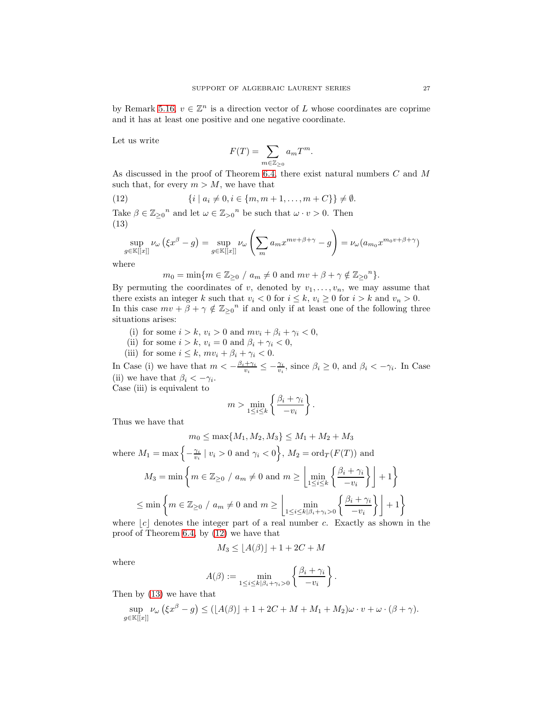by Remark [5.16,](#page-20-1)  $v \in \mathbb{Z}^n$  is a direction vector of L whose coordinates are coprime and it has at least one positive and one negative coordinate.

Let us write

<span id="page-26-0"></span>
$$
F(T) = \sum_{m \in \mathbb{Z}_{\geq 0}} a_m T^m.
$$

As discussed in the proof of Theorem [6.4,](#page-22-0) there exist natural numbers C and M such that, for every  $m > M$ , we have that

(12) 
$$
\{i \mid a_i \neq 0, i \in \{m, m+1, \dots, m+C\}\} \neq \emptyset.
$$

Take  $\beta \in \mathbb{Z}_{\geq 0}^n$  and let  $\omega \in \mathbb{Z}_{> 0}^n$  be such that  $\omega \cdot v > 0$ . Then (13)

<span id="page-26-1"></span>
$$
\sup_{g \in \mathbb{K}[[x]]} \nu_{\omega} \left( \xi x^{\beta} - g \right) = \sup_{g \in \mathbb{K}[[x]]} \nu_{\omega} \left( \sum_{m} a_m x^{m v + \beta + \gamma} - g \right) = \nu_{\omega} (a_{m_0} x^{m_0 v + \beta + \gamma})
$$

where

$$
m_0 = \min\{m \in \mathbb{Z}_{\geq 0} / a_m \neq 0 \text{ and } mv + \beta + \gamma \notin \mathbb{Z}_{\geq 0}^n\}.
$$

By permuting the coordinates of v, denoted by  $v_1, \ldots, v_n$ , we may assume that there exists an integer k such that  $v_i < 0$  for  $i \leq k$ ,  $v_i \geq 0$  for  $i > k$  and  $v_n > 0$ . In this case  $mv + \beta + \gamma \notin \mathbb{Z}_{\geq 0}^n$  if and only if at least one of the following three situations arises:

- (i) for some  $i > k$ ,  $v_i > 0$  and  $mv_i + \beta_i + \gamma_i < 0$ ,
- (ii) for some  $i > k$ ,  $v_i = 0$  and  $\beta_i + \gamma_i < 0$ ,
- (iii) for some  $i \leq k$ ,  $mv_i + \beta_i + \gamma_i < 0$ .

In Case (i) we have that  $m < -\frac{\beta_i + \gamma_i}{v_i} \leq -\frac{\gamma_i}{v_i}$ , since  $\beta_i \geq 0$ , and  $\beta_i < -\gamma_i$ . In Case (ii) we have that  $\beta_i < -\gamma_i$ .

Case (iii) is equivalent to

$$
m > \min_{1 \leq i \leq k} \left\{ \frac{\beta_i + \gamma_i}{-v_i} \right\}.
$$

Thus we have that

$$
m_0 \le \max\{M_1, M_2, M_3\} \le M_1 + M_2 + M_3
$$

where  $M_1 = \max\left\{-\frac{\gamma_i}{v_i} \mid v_i > 0 \text{ and } \gamma_i < 0\right\}$ ,  $M_2 = \text{ord}_T(F(T))$  and  $M_3 = \min \left\{ m \in \mathbb{Z}_{\geq 0} \mid a_m \neq 0 \text{ and } m \geq \left| \min_{1 \leq i \leq k} \left\{ \frac{\beta_i + \gamma_i}{-n} \right\} \right| + 1 \right\}$ 

$$
m_3 = \min\left\{m \in \mathbb{Z}_{\geq 0} \mid a_m \neq 0 \text{ and } m \geq \left\lfloor \frac{\min\{2k\}}{1 \leq i \leq k} \left\{ \frac{-v_i}{-v_i} \right\} \right\rfloor + 1\right\}
$$

$$
\leq \min\left\{m \in \mathbb{Z}_{\geq 0} \mid a_m \neq 0 \text{ and } m \geq \left\lfloor \frac{\min\{2k\}}{1 \leq i \leq k} \left\lfloor \frac{\beta_i + \gamma_i}{-v_i} \right\} \right\rfloor + 1\right\}
$$

where  $|c|$  denotes the integer part of a real number c. Exactly as shown in the proof of Theorem [6.4,](#page-22-0) by [\(12\)](#page-26-0) we have that

$$
M_3 \le \lfloor A(\beta) \rfloor + 1 + 2C + M
$$

where

$$
A(\beta) := \min_{1 \leq i \leq k|\beta_i + \gamma_i > 0} \left\{ \frac{\beta_i + \gamma_i}{-v_i} \right\}.
$$

Then by [\(13\)](#page-26-1) we have that

$$
\sup_{g\in\mathbb{K}[[x]]}\nu_\omega\left(\xi x^\beta-g\right)\leq \left(\lfloor A(\beta)\rfloor+1+2C+M+M_1+M_2\right)\omega\cdot v+\omega\cdot(\beta+\gamma).
$$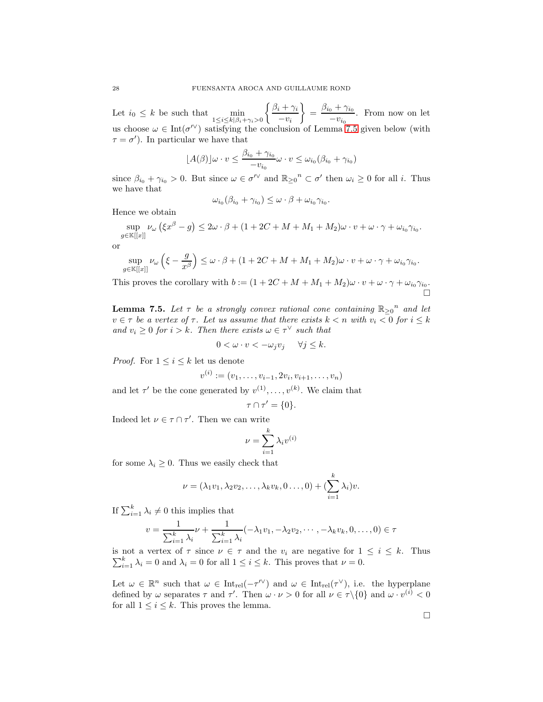Let  $i_0 \leq k$  be such that  $\min_{1 \leq i \leq k | \beta_i + \gamma_i > 0}$  $\int \beta_i + \gamma_i$  $-v_i$  $= \frac{\beta_{i_0} + \gamma_{i_0}}{\gamma_{i_0}}$  $\frac{0^{17}}{10}$ . From now on let us choose  $\omega \in \text{Int}(\sigma^{\prime\vee})$  satisfying the conclusion of Lemma [7.5](#page-27-0) given below (with  $\tau = \sigma'$ ). In particular we have that

$$
\lfloor A(\beta) \rfloor \omega \cdot v \le \frac{\beta_{i_0} + \gamma_{i_0}}{-v_{i_0}} \omega \cdot v \le \omega_{i_0} (\beta_{i_0} + \gamma_{i_0})
$$

since  $\beta_{i_0} + \gamma_{i_0} > 0$ . But since  $\omega \in \sigma^{\prime\prime}$  and  $\mathbb{R}_{\geq 0}^n \subset \sigma'$  then  $\omega_i \geq 0$  for all *i*. Thus we have that

$$
\omega_{i_0}(\beta_{i_0} + \gamma_{i_0}) \leq \omega \cdot \beta + \omega_{i_0} \gamma_{i_0}.
$$

Hence we obtain

sup  $\sup_{g\in\mathbb{K}[[x]]}\nu_\omega\left(\xi x^\beta-g\right)\leq 2\omega\cdot\beta+(1+2C+M+M_1+M_2)\omega\cdot v+\omega\cdot\gamma+\omega_{i_0}\gamma_{i_0}.$ 

or

$$
\sup_{g\in\mathbb{K}[[x]]}\nu_\omega\left(\xi-\frac{g}{x^\beta}\right)\leq \omega\cdot \beta+(1+2C+M+M_1+M_2)\omega\cdot v+\omega\cdot \gamma+\omega_{i_0}\gamma_{i_0}.
$$

This proves the corollary with  $b := (1 + 2C + M + M_1 + M_2)\omega \cdot v + \omega \cdot \gamma + \omega_{i_0} \gamma_{i_0}$ . Ď

<span id="page-27-0"></span>**Lemma 7.5.** Let  $\tau$  be a strongly convex rational cone containing  $\mathbb{R}_{\geq 0}^n$  and let  $v \in \tau$  be a vertex of  $\tau$ . Let us assume that there exists  $k < n$  with  $v_i < 0$  for  $i \leq k$ and  $v_i \geq 0$  for  $i > k$ . Then there exists  $\omega \in \tau^{\vee}$  such that

$$
0 < \omega \cdot v < -\omega_j v_j \quad \forall j \leq k.
$$

*Proof.* For  $1 \leq i \leq k$  let us denote

$$
v^{(i)} := (v_1, \ldots, v_{i-1}, 2v_i, v_{i+1}, \ldots, v_n)
$$

and let  $\tau'$  be the cone generated by  $v^{(1)}, \ldots, v^{(k)}$ . We claim that

$$
\tau \cap \tau' = \{0\}.
$$

Indeed let  $\nu \in \tau \cap \tau'$ . Then we can write

$$
\nu = \sum_{i=1}^{k} \lambda_i v^{(i)}
$$

for some  $\lambda_i \geq 0$ . Thus we easily check that

$$
\nu = (\lambda_1 v_1, \lambda_2 v_2, \dots, \lambda_k v_k, 0 \dots, 0) + (\sum_{i=1}^k \lambda_i)v.
$$

If  $\sum_{i=1}^{k} \lambda_i \neq 0$  this implies that

$$
v = \frac{1}{\sum_{i=1}^{k} \lambda_i} \nu + \frac{1}{\sum_{i=1}^{k} \lambda_i} (-\lambda_1 v_1, -\lambda_2 v_2, \cdots, -\lambda_k v_k, 0, \dots, 0) \in \tau
$$

is not a vertex of  $\tau$  since  $\nu \in \tau$  and the  $v_i$  are negative for  $1 \leq i \leq k$ . Thus  $\sum_{i=1}^{k} \lambda_i = 0$  and  $\lambda_i = 0$  for all  $1 \leq i \leq k$ . This proves that  $\nu = 0$ .

Let  $\omega \in \mathbb{R}^n$  such that  $\omega \in \text{Int}_{rel}(-\tau^{\prime\vee})$  and  $\omega \in \text{Int}_{rel}(\tau^{\vee})$ , i.e. the hyperplane defined by  $\omega$  separates  $\tau$  and  $\tau'$ . Then  $\omega \cdot \nu > 0$  for all  $\nu \in \tau \setminus \{0\}$  and  $\omega \cdot v^{(i)} < 0$ for all  $1 \leq i \leq k$ . This proves the lemma.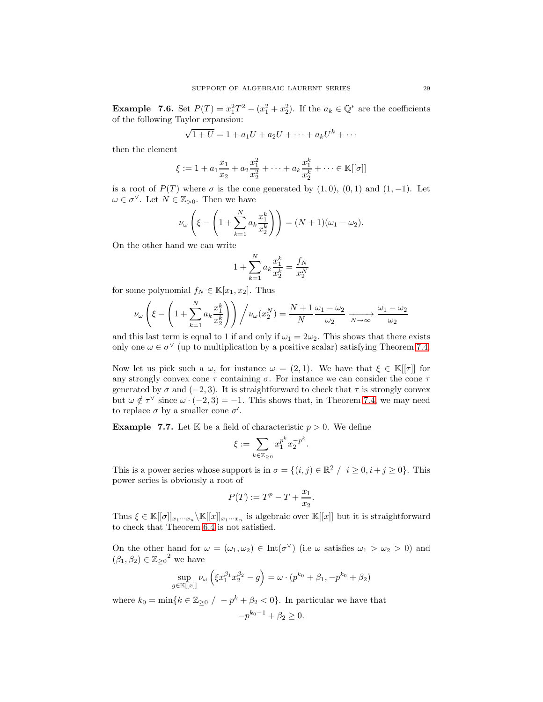**Example 7.6.** Set  $P(T) = x_1^2 T^2 - (x_1^2 + x_2^2)$ . If the  $a_k \in \mathbb{Q}^*$  are the coefficients of the following Taylor expansion:

$$
\sqrt{1+U} = 1 + a_1U + a_2U + \dots + a_kU^k + \dots
$$

then the element

$$
\xi := 1 + a_1 \frac{x_1}{x_2} + a_2 \frac{x_1^2}{x_2^2} + \dots + a_k \frac{x_1^k}{x_2^k} + \dots \in \mathbb{K}[[\sigma]]
$$

is a root of  $P(T)$  where  $\sigma$  is the cone generated by  $(1,0), (0,1)$  and  $(1,-1)$ . Let  $\omega \in \sigma^{\vee}$ . Let  $N \in \mathbb{Z}_{>0}$ . Then we have

$$
\nu_{\omega}\left(\xi - \left(1 + \sum_{k=1}^{N} a_k \frac{x_1^k}{x_2^k}\right)\right) = (N+1)(\omega_1 - \omega_2).
$$

On the other hand we can write

$$
1 + \sum_{k=1}^{N} a_k \frac{x_1^k}{x_2^k} = \frac{f_N}{x_2^N}
$$

for some polynomial  $f_N \in \mathbb{K}[x_1, x_2]$ . Thus

$$
\nu_{\omega}\left(\xi - \left(1 + \sum_{k=1}^{N} a_k \frac{x_1^k}{x_2^k}\right)\right) / \nu_{\omega}(x_2^N) = \frac{N+1}{N} \frac{\omega_1 - \omega_2}{\omega_2} \xrightarrow[N \to \infty]{} \frac{\omega_1 - \omega_2}{\omega_2}
$$

and this last term is equal to 1 if and only if  $\omega_1 = 2\omega_2$ . This shows that there exists only one  $\omega \in \sigma^{\vee}$  (up to multiplication by a positive scalar) satisfying Theorem [7.4.](#page-25-0)

Now let us pick such a  $\omega$ , for instance  $\omega = (2, 1)$ . We have that  $\xi \in \mathbb{K}[[\tau]]$  for any strongly convex cone  $\tau$  containing  $\sigma$ . For instance we can consider the cone  $\tau$ generated by  $\sigma$  and (−2, 3). It is straightforward to check that  $\tau$  is strongly convex but  $\omega \notin \tau^{\vee}$  since  $\omega \cdot (-2, 3) = -1$ . This shows that, in Theorem [7.4,](#page-25-0) we may need to replace  $\sigma$  by a smaller cone  $\sigma'$ .

**Example 7.7.** Let  $K$  be a field of characteristic  $p > 0$ . We define

$$
\xi := \sum_{k \in \mathbb{Z}_{\geq 0}} x_1^{p^k} x_2^{-p^k}.
$$

This is a power series whose support is in  $\sigma = \{(i, j) \in \mathbb{R}^2 / i \geq 0, i + j \geq 0\}$ . This power series is obviously a root of

$$
P(T):=T^p-T+\frac{x_1}{x_2}.
$$

Thus  $\xi \in \mathbb{K}[[\sigma]]_{x_1\cdots x_n} \setminus \mathbb{K}[[x]]_{x_1\cdots x_n}$  is algebraic over  $\mathbb{K}[[x]]$  but it is straightforward to check that Theorem [6.4](#page-22-0) is not satisfied.

On the other hand for  $\omega = (\omega_1, \omega_2) \in \text{Int}(\sigma^{\vee})$  (i.e  $\omega$  satisfies  $\omega_1 > \omega_2 > 0$ ) and  $(\beta_1, \beta_2) \in \mathbb{Z}_{\geq 0}^2$  we have

$$
\sup_{g \in \mathbb{K}[[x]]} \nu_{\omega} \left( \xi x_1^{\beta_1} x_2^{\beta_2} - g \right) = \omega \cdot (p^{k_0} + \beta_1, -p^{k_0} + \beta_2)
$$

where  $k_0 = \min\{k \in \mathbb{Z}_{\geq 0} / -p^k + \beta_2 < 0\}$ . In particular we have that

$$
-p^{k_0-1} + \beta_2 \ge 0.
$$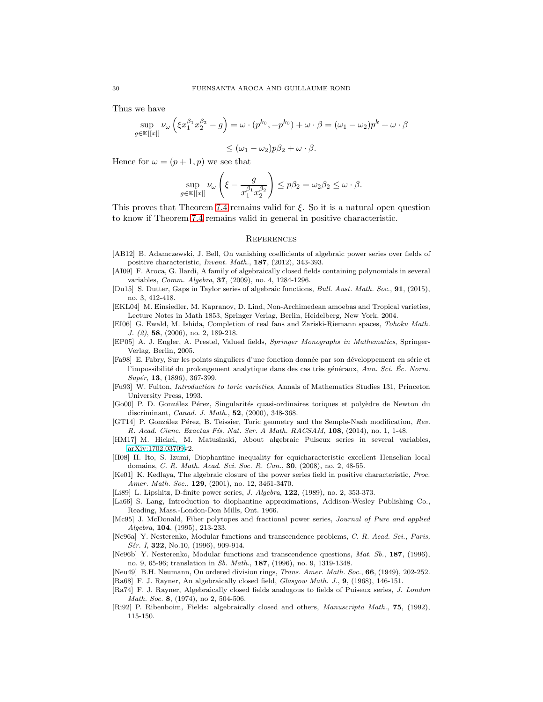Thus we have

$$
\sup_{g \in \mathbb{K}[[x]]} \nu_{\omega} \left( \xi x_1^{\beta_1} x_2^{\beta_2} - g \right) = \omega \cdot (p^{k_0}, -p^{k_0}) + \omega \cdot \beta = (\omega_1 - \omega_2) p^k + \omega \cdot \beta
$$

$$
\leq (\omega_1 - \omega_2)p\beta_2 + \omega \cdot \beta.
$$

Hence for  $\omega = (p+1, p)$  we see that

$$
\sup_{g \in \mathbb{K}[[x]]} \nu_{\omega} \left( \xi - \frac{g}{x_1^{\beta_1} x_2^{\beta_2}} \right) \le p\beta_2 = \omega_2 \beta_2 \le \omega \cdot \beta.
$$

This proves that Theorem [7.4](#page-25-0) remains valid for  $\xi$ . So it is a natural open question to know if Theorem [7.4](#page-25-0) remains valid in general in positive characteristic.

### <span id="page-29-0"></span>**REFERENCES**

- <span id="page-29-6"></span>[AB12] B. Adamczewski, J. Bell, On vanishing coefficients of algebraic power series over fields of positive characteristic, Invent. Math., 187, (2012), 343-393.
- <span id="page-29-3"></span>[AI09] F. Aroca, G. Ilardi, A family of algebraically closed fields containing polynomials in several variables, Comm. Algebra, 37, (2009), no. 4, 1284-1296.
- <span id="page-29-10"></span>[Du15] S. Dutter, Gaps in Taylor series of algebraic functions, Bull. Aust. Math. Soc., 91, (2015), no. 3, 412-418.
- <span id="page-29-4"></span>[EKL04] M. Einsiedler, M. Kapranov, D. Lind, Non-Archimedean amoebas and Tropical varieties, Lecture Notes in Math 1853, Springer Verlag, Berlin, Heidelberg, New York, 2004.
- <span id="page-29-12"></span>[EI06] G. Ewald, M. Ishida, Completion of real fans and Zariski-Riemann spaces, Tohoku Math. J. (2), 58, (2006), no. 2, 189-218.
- [EP05] A. J. Engler, A. Prestel, Valued fields, Springer Monographs in Mathematics, Springer-Verlag, Berlin, 2005.
- <span id="page-29-9"></span>[Fa98] E. Fabry, Sur les points singuliers d'une fonction donnée par son développement en série et l'impossibilité du prolongement analytique dans des cas très généraux, Ann. Sci. Éc. Norm.  $Supér, 13, (1896), 367-399.$
- <span id="page-29-11"></span>[Fu93] W. Fulton, Introduction to toric varieties, Annals of Mathematics Studies 131, Princeton University Press, 1993.
- <span id="page-29-2"></span>[Go00] P. D. González Pérez, Singularités quasi-ordinaires toriques et polyèdre de Newton du discriminant, Canad. J. Math., 52, (2000), 348-368.
- <span id="page-29-13"></span>[GT14] P. González Pérez, B. Teissier, Toric geometry and the Semple-Nash modification, Rev. R. Acad. Cienc. Exactas Fís. Nat. Ser. A Math. RACSAM, 108, (2014), no. 1, 1-48.
- <span id="page-29-5"></span>[HM17] M. Hickel, M. Matusinski, About algebraic Puiseux series in several variables, [arXiv:1702.03709v](http://arxiv.org/abs/1702.03709)2.
- <span id="page-29-18"></span>[II08] H. Ito, S. Izumi, Diophantine inequality for equicharacteristic excellent Henselian local domains, C. R. Math. Acad. Sci. Soc. R. Can., 30, (2008), no. 2, 48-55.
- <span id="page-29-7"></span>[Ke01] K. Kedlaya, The algebraic closure of the power series field in positive characteristic, Proc. Amer. Math. Soc., 129, (2001), no. 12, 3461-3470.
- <span id="page-29-17"></span>[Li89] L. Lipshitz, D-finite power series, *J. Algebra*, **122**, (1989), no. 2, 353-373.
- <span id="page-29-19"></span>[La66] S. Lang, Introduction to diophantine approximations, Addison-Wesley Publishing Co., Reading, Mass.-London-Don Mills, Ont. 1966.
- <span id="page-29-1"></span>[Mc95] J. McDonald, Fiber polytopes and fractional power series, Journal of Pure and applied Algebra, 104, (1995), 213-233.
- <span id="page-29-20"></span>[Ne96a] Y. Nesterenko, Modular functions and transcendence problems, C. R. Acad. Sci., Paris, Sér. I, 322, No.10, (1996), 909-914.
- <span id="page-29-21"></span>[Ne96b] Y. Nesterenko, Modular functions and transcendence questions, Mat. Sb., 187, (1996), no. 9, 65-96; translation in Sb. Math., 187, (1996), no. 9, 1319-1348.
- <span id="page-29-14"></span>[Neu49] B.H. Neumann, On ordered division rings, Trans. Amer. Math. Soc., 66, (1949), 202-252.
- <span id="page-29-16"></span>[Ra68] F. J. Rayner, An algebraically closed field, Glasgow Math. J., 9, (1968), 146-151.
- <span id="page-29-8"></span>[Ra74] F. J. Rayner, Algebraically closed fields analogous to fields of Puiseux series, J. London Math. Soc. 8, (1974), no 2, 504-506.
- <span id="page-29-15"></span>[Ri92] P. Ribenboim, Fields: algebraically closed and others, Manuscripta Math., 75, (1992), 115-150.